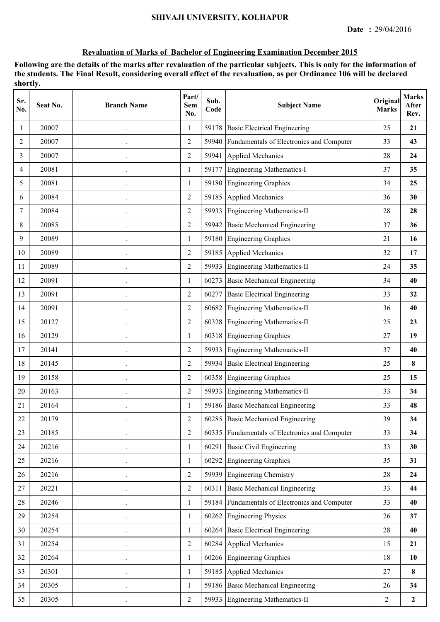| Sr.<br>No. | Seat No. | <b>Branch Name</b>   | Part/<br>Sem<br>No. | Sub.<br>Code | <b>Subject Name</b>                      | Original<br><b>Marks</b> | <b>Marks</b><br>After<br>Rev. |
|------------|----------|----------------------|---------------------|--------------|------------------------------------------|--------------------------|-------------------------------|
| 1          | 20007    |                      | 1                   | 59178        | <b>Basic Electrical Engineering</b>      | 25                       | 21                            |
| 2          | 20007    |                      | $\overline{2}$      | 59940        | Fundamentals of Electronics and Computer | 33                       | 43                            |
| 3          | 20007    | $\ddot{\phantom{0}}$ | $\overline{2}$      | 59941        | <b>Applied Mechanics</b>                 | 28                       | 24                            |
| 4          | 20081    | $\ddot{\phantom{0}}$ | 1                   | 59177        | Engineering Mathematics-I                | 37                       | 35                            |
| 5          | 20081    |                      | 1                   | 59180        | <b>Engineering Graphics</b>              | 34                       | 25                            |
| 6          | 20084    |                      | $\overline{2}$      | 59185        | <b>Applied Mechanics</b>                 | 36                       | 30                            |
| 7          | 20084    |                      | $\overline{2}$      | 59933        | <b>Engineering Mathematics-II</b>        | 28                       | 28                            |
| 8          | 20085    |                      | $\overline{2}$      | 59942        | <b>Basic Mechanical Engineering</b>      | 37                       | 36                            |
| 9          | 20089    |                      | 1                   |              | 59180 Engineering Graphics               | 21                       | 16                            |
| 10         | 20089    |                      | $\overline{2}$      | 59185        | <b>Applied Mechanics</b>                 | 32                       | 17                            |
| 11         | 20089    |                      | $\overline{2}$      | 59933        | <b>Engineering Mathematics-II</b>        | 24                       | 35                            |
| 12         | 20091    | $\ddot{\phantom{0}}$ | 1                   | 60273        | <b>Basic Mechanical Engineering</b>      | 34                       | 40                            |
| 13         | 20091    |                      | $\overline{2}$      | 60277        | <b>Basic Electrical Engineering</b>      | 33                       | 32                            |
| 14         | 20091    |                      | $\overline{2}$      | 60682        | <b>Engineering Mathematics-II</b>        | 36                       | 40                            |
| 15         | 20127    | $\bullet$            | $\overline{2}$      | 60328        | <b>Engineering Mathematics-II</b>        | 25                       | 23                            |
| 16         | 20129    |                      | 1                   | 60318        | <b>Engineering Graphics</b>              | 27                       | 19                            |
| 17         | 20141    |                      | 2                   | 59933        | <b>Engineering Mathematics-II</b>        | 37                       | 40                            |
| 18         | 20145    |                      | $\overline{2}$      | 59934        | <b>Basic Electrical Engineering</b>      | 25                       | 8                             |
| 19         | 20158    | $\ddot{\phantom{0}}$ | $\overline{2}$      |              | 60358 Engineering Graphics               | 25                       | 15                            |
| 20         | 20163    | $\ddot{\phantom{0}}$ | $\overline{2}$      |              | 59933 Engineering Mathematics-II         | 33                       | 34                            |
| 21         | 20164    |                      | 1                   |              | 59186 Basic Mechanical Engineering       | 33                       | 48                            |
| 22         | 20179    |                      | $\mathfrak{2}$      |              | 60285 Basic Mechanical Engineering       | 39                       | 34                            |
| 23         | 20185    |                      | $\overline{2}$      | 60335        | Fundamentals of Electronics and Computer | 33                       | 34                            |
| 24         | 20216    |                      | 1                   | 60291        | <b>Basic Civil Engineering</b>           | 33                       | 30                            |
| 25         | 20216    |                      | 1                   | 60292        | <b>Engineering Graphics</b>              | 35                       | 31                            |
| 26         | 20216    |                      | $\overline{2}$      |              | 59939 Engineering Chemistry              | 28                       | 24                            |
| 27         | 20221    | $\ddot{\phantom{0}}$ | $\overline{2}$      | 60311        | <b>Basic Mechanical Engineering</b>      | 33                       | 44                            |
| 28         | 20246    |                      | $\mathbf{1}$        | 59184        | Fundamentals of Electronics and Computer | 33                       | 40                            |
| 29         | 20254    |                      | 1                   | 60262        | <b>Engineering Physics</b>               | 26                       | 37                            |
| 30         | 20254    |                      | $\mathbf{1}$        | 60264        | <b>Basic Electrical Engineering</b>      | 28                       | 40                            |
| 31         | 20254    |                      | $\overline{2}$      |              | 60284 Applied Mechanics                  | 15                       | 21                            |
| 32         | 20264    |                      | 1                   |              | 60266 Engineering Graphics               | 18                       | 10                            |
| 33         | 20301    |                      | 1                   | 59185        | <b>Applied Mechanics</b>                 | 27                       | $\bf{8}$                      |
| 34         | 20305    |                      | $\mathbf{1}$        |              | 59186 Basic Mechanical Engineering       | 26                       | 34                            |
| 35         | 20305    | $\ddot{\phantom{0}}$ | $\overline{2}$      | 59933        | <b>Engineering Mathematics-II</b>        | $\overline{2}$           | $\boldsymbol{2}$              |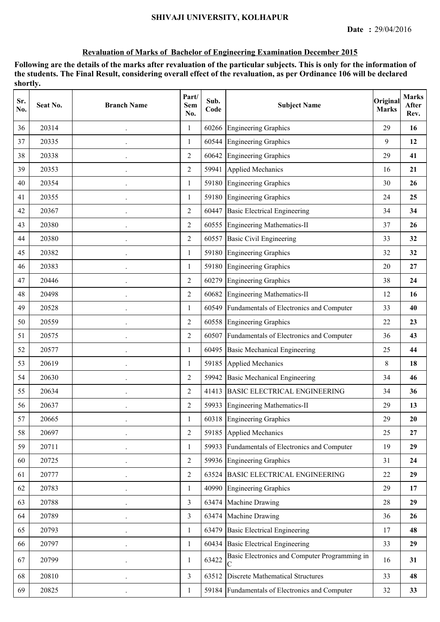| Sr.<br>No. | Seat No. | <b>Branch Name</b> | Part/<br>Sem<br>No. | Sub.<br>Code | <b>Subject Name</b>                                | Original<br><b>Marks</b> | <b>Marks</b><br>After<br>Rev. |
|------------|----------|--------------------|---------------------|--------------|----------------------------------------------------|--------------------------|-------------------------------|
| 36         | 20314    |                    | 1                   | 60266        | <b>Engineering Graphics</b>                        | 29                       | 16                            |
| 37         | 20335    |                    | 1                   | 60544        | <b>Engineering Graphics</b>                        | 9                        | 12                            |
| 38         | 20338    |                    | $\overline{2}$      | 60642        | <b>Engineering Graphics</b>                        | 29                       | 41                            |
| 39         | 20353    |                    | $\overline{2}$      |              | 59941 Applied Mechanics                            | 16                       | 21                            |
| 40         | 20354    |                    | 1                   |              | 59180 Engineering Graphics                         | 30                       | 26                            |
| 41         | 20355    |                    | 1                   |              | 59180 Engineering Graphics                         | 24                       | 25                            |
| 42         | 20367    |                    | $\overline{2}$      | 60447        | <b>Basic Electrical Engineering</b>                | 34                       | 34                            |
| 43         | 20380    |                    | $\overline{2}$      | 60555        | Engineering Mathematics-II                         | 37                       | 26                            |
| 44         | 20380    |                    | $\overline{2}$      | 60557        | <b>Basic Civil Engineering</b>                     | 33                       | 32                            |
| 45         | 20382    |                    | 1                   | 59180        | <b>Engineering Graphics</b>                        | 32                       | 32                            |
| 46         | 20383    |                    | $\mathbf{1}$        | 59180        | <b>Engineering Graphics</b>                        | 20                       | 27                            |
| 47         | 20446    |                    | $\overline{2}$      | 60279        | <b>Engineering Graphics</b>                        | 38                       | 24                            |
| 48         | 20498    |                    | $\overline{2}$      | 60682        | Engineering Mathematics-II                         | 12                       | 16                            |
| 49         | 20528    |                    | 1                   | 60549        | Fundamentals of Electronics and Computer           | 33                       | 40                            |
| 50         | 20559    |                    | $\overline{2}$      | 60558        | <b>Engineering Graphics</b>                        | 22                       | 23                            |
| 51         | 20575    |                    | 2                   | 60507        | Fundamentals of Electronics and Computer           | 36                       | 43                            |
| 52         | 20577    |                    | 1                   | 60495        | <b>Basic Mechanical Engineering</b>                | 25                       | 44                            |
| 53         | 20619    |                    | 1                   | 59185        | <b>Applied Mechanics</b>                           | 8                        | 18                            |
| 54         | 20630    |                    | $\overline{2}$      | 59942        | <b>Basic Mechanical Engineering</b>                | 34                       | 46                            |
| 55         | 20634    |                    | $\overline{2}$      | 41413        | <b>BASIC ELECTRICAL ENGINEERING</b>                | 34                       | 36                            |
| 56         | 20637    |                    | $\overline{2}$      |              | 59933 Engineering Mathematics-II                   | 29                       | 13                            |
| 57         | 20665    |                    |                     |              | 60318 Engineering Graphics                         | 29                       | 20                            |
| 58         | 20697    |                    | $\overline{2}$      |              | 59185 Applied Mechanics                            | 25                       | 27                            |
| 59         | 20711    |                    | 1                   | 59933        | Fundamentals of Electronics and Computer           | 19                       | 29                            |
| 60         | 20725    |                    | $\overline{2}$      |              | 59936 Engineering Graphics                         | 31                       | 24                            |
| 61         | 20777    |                    | $\overline{2}$      |              | 63524 BASIC ELECTRICAL ENGINEERING                 | 22                       | 29                            |
| 62         | 20783    |                    | $\mathbf{1}$        |              | 40990 Engineering Graphics                         | 29                       | 17                            |
| 63         | 20788    |                    | $\overline{3}$      |              | 63474 Machine Drawing                              | 28                       | 29                            |
| 64         | 20789    |                    | 3                   |              | 63474 Machine Drawing                              | 36                       | 26                            |
| 65         | 20793    |                    | $\mathbf{1}$        | 63479        | <b>Basic Electrical Engineering</b>                | 17                       | 48                            |
| 66         | 20797    |                    | $\mathbf{1}$        | 60434        | <b>Basic Electrical Engineering</b>                | 33                       | 29                            |
| 67         | 20799    |                    | 1                   | 63422        | Basic Electronics and Computer Programming in<br>С | 16                       | 31                            |
| 68         | 20810    |                    | $\overline{3}$      | 63512        | <b>Discrete Mathematical Structures</b>            | 33                       | 48                            |
| 69         | 20825    |                    | $\mathbf{1}$        |              | 59184 Fundamentals of Electronics and Computer     | 32                       | 33                            |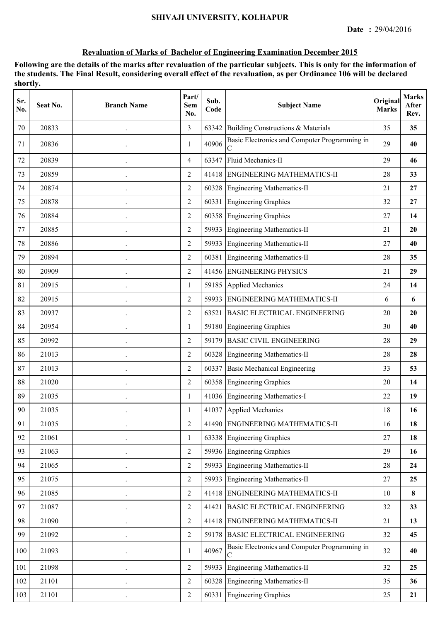| Sr.<br>No. | Seat No. | <b>Branch Name</b> | Part/<br>Sem<br>No. | Sub.<br>Code | <b>Subject Name</b>                                | Original<br><b>Marks</b> | <b>Marks</b><br>After<br>Rev. |
|------------|----------|--------------------|---------------------|--------------|----------------------------------------------------|--------------------------|-------------------------------|
| 70         | 20833    |                    | 3                   | 63342        | Building Constructions & Materials                 | 35                       | 35                            |
| 71         | 20836    |                    | 1                   | 40906        | Basic Electronics and Computer Programming in      | 29                       | 40                            |
| 72         | 20839    |                    | $\overline{4}$      | 63347        | Fluid Mechanics-II                                 | 29                       | 46                            |
| 73         | 20859    |                    | $\overline{2}$      | 41418        | <b>ENGINEERING MATHEMATICS-II</b>                  | 28                       | 33                            |
| 74         | 20874    |                    | $\overline{2}$      | 60328        | Engineering Mathematics-II                         | 21                       | 27                            |
| 75         | 20878    |                    | $\overline{2}$      | 60331        | <b>Engineering Graphics</b>                        | 32                       | 27                            |
| 76         | 20884    |                    | $\overline{2}$      | 60358        | <b>Engineering Graphics</b>                        | 27                       | 14                            |
| 77         | 20885    |                    | $\overline{2}$      | 59933        | Engineering Mathematics-II                         | 21                       | <b>20</b>                     |
| 78         | 20886    |                    | $\overline{2}$      | 59933        | Engineering Mathematics-II                         | 27                       | 40                            |
| 79         | 20894    |                    | $\overline{2}$      | 60381        | <b>Engineering Mathematics-II</b>                  | 28                       | 35                            |
| 80         | 20909    |                    | $\overline{2}$      |              | 41456 ENGINEERING PHYSICS                          | 21                       | 29                            |
| 81         | 20915    |                    | 1                   |              | 59185 Applied Mechanics                            | 24                       | 14                            |
| 82         | 20915    |                    | $\overline{2}$      | 59933        | <b>ENGINEERING MATHEMATICS-II</b>                  | 6                        | 6                             |
| 83         | 20937    |                    | $\overline{2}$      | 63521        | <b>BASIC ELECTRICAL ENGINEERING</b>                | 20                       | 20                            |
| 84         | 20954    |                    | 1                   |              | 59180 Engineering Graphics                         | 30                       | 40                            |
| 85         | 20992    |                    | 2                   | 59179        | <b>BASIC CIVIL ENGINEERING</b>                     | 28                       | 29                            |
| 86         | 21013    |                    | $\overline{2}$      | 60328        | Engineering Mathematics-II                         | 28                       | 28                            |
| 87         | 21013    |                    | $\overline{2}$      | 60337        | <b>Basic Mechanical Engineering</b>                | 33                       | 53                            |
| 88         | 21020    |                    | $\overline{2}$      |              | 60358 Engineering Graphics                         | 20                       | 14                            |
| 89         | 21035    |                    | 1                   |              | 41036 Engineering Mathematics-I                    | 22                       | 19                            |
| 90         | 21035    |                    | 1                   | 41037        | Applied Mechanics                                  | 18                       | 16                            |
| 91         | 21035    |                    | 2                   |              | 41490 ENGINEERING MATHEMATICS-II                   | 16                       | 18                            |
| 92         | 21061    |                    | 1                   |              | 63338 Engineering Graphics                         | 27                       | 18                            |
| 93         | 21063    |                    | 2                   |              | 59936 Engineering Graphics                         | 29                       | 16                            |
| 94         | 21065    |                    | $\overline{2}$      | 59933        | Engineering Mathematics-II                         | 28                       | 24                            |
| 95         | 21075    |                    | $\overline{2}$      |              | 59933 Engineering Mathematics-II                   | $27\,$                   | 25                            |
| 96         | 21085    | $\bullet$          | $\overline{2}$      |              | 41418 ENGINEERING MATHEMATICS-II                   | 10                       | 8                             |
| 97         | 21087    |                    | $\overline{2}$      | 41421        | <b>BASIC ELECTRICAL ENGINEERING</b>                | 32                       | 33                            |
| 98         | 21090    |                    | $\overline{2}$      |              | 41418 ENGINEERING MATHEMATICS-II                   | 21                       | 13                            |
| 99         | 21092    |                    | $\overline{2}$      |              | 59178 BASIC ELECTRICAL ENGINEERING                 | 32                       | 45                            |
| 100        | 21093    |                    | 1                   | 40967        | Basic Electronics and Computer Programming in<br>C | 32                       | 40                            |
| 101        | 21098    |                    | $\overline{2}$      | 59933        | Engineering Mathematics-II                         | 32                       | 25                            |
| 102        | 21101    |                    | $\overline{2}$      |              | 60328 Engineering Mathematics-II                   | 35                       | 36                            |
| 103        | 21101    | $\bullet$          | $\overline{2}$      |              | 60331 Engineering Graphics                         | 25                       | 21                            |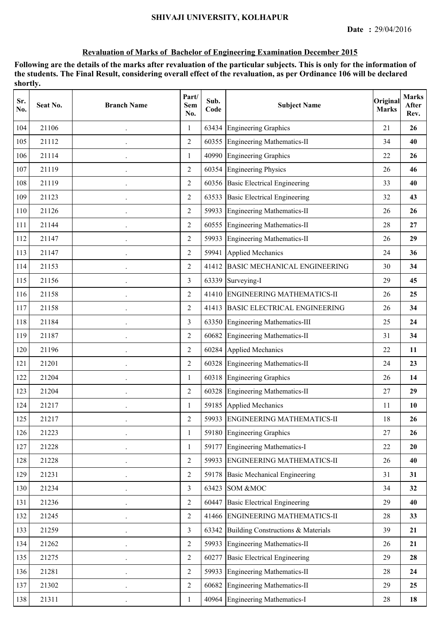| Sr.<br>No. | Seat No. | <b>Branch Name</b>   | Part/<br><b>Sem</b><br>No. | Sub.<br>Code | <b>Subject Name</b>                 | Original<br><b>Marks</b> | <b>Marks</b><br>After<br>Rev. |
|------------|----------|----------------------|----------------------------|--------------|-------------------------------------|--------------------------|-------------------------------|
| 104        | 21106    |                      | 1                          | 63434        | <b>Engineering Graphics</b>         | 21                       | 26                            |
| 105        | 21112    |                      | $\overline{2}$             |              | 60355 Engineering Mathematics-II    | 34                       | 40                            |
| 106        | 21114    |                      | $\mathbf{1}$               |              | 40990 Engineering Graphics          | 22                       | 26                            |
| 107        | 21119    |                      | $\overline{2}$             |              | 60354 Engineering Physics           | 26                       | 46                            |
| 108        | 21119    |                      | 2                          |              | 60356 Basic Electrical Engineering  | 33                       | 40                            |
| 109        | 21123    |                      | $\overline{2}$             | 63533        | <b>Basic Electrical Engineering</b> | 32                       | 43                            |
| 110        | 21126    |                      | 2                          | 59933        | Engineering Mathematics-II          | 26                       | 26                            |
| 111        | 21144    |                      | $\overline{2}$             | 60555        | Engineering Mathematics-II          | 28                       | 27                            |
| 112        | 21147    |                      | $\overline{2}$             | 59933        | Engineering Mathematics-II          | 26                       | 29                            |
| 113        | 21147    |                      | $\overline{2}$             | 59941        | Applied Mechanics                   | 24                       | 36                            |
| 114        | 21153    |                      | $\overline{2}$             |              | 41412 BASIC MECHANICAL ENGINEERING  | 30                       | 34                            |
| 115        | 21156    | $\ddot{\phantom{0}}$ | 3                          |              | 63339 Surveying-I                   | 29                       | 45                            |
| 116        | 21158    |                      | $\overline{2}$             |              | 41410 ENGINEERING MATHEMATICS-II    | 26                       | 25                            |
| 117        | 21158    |                      | $\overline{2}$             | 41413        | <b>BASIC ELECTRICAL ENGINEERING</b> | 26                       | 34                            |
| 118        | 21184    |                      | 3                          | 63350        | Engineering Mathematics-III         | 25                       | 24                            |
| 119        | 21187    |                      | $\overline{2}$             | 60682        | <b>Engineering Mathematics-II</b>   | 31                       | 34                            |
| 120        | 21196    |                      | 2                          | 60284        | Applied Mechanics                   | 22                       | 11                            |
| 121        | 21201    |                      | $\overline{2}$             |              | 60328 Engineering Mathematics-II    | 24                       | 23                            |
| 122        | 21204    | $\bullet$            | $\mathbf{1}$               |              | 60318 Engineering Graphics          | 26                       | 14                            |
| 123        | 21204    |                      | $\overline{2}$             |              | 60328 Engineering Mathematics-II    | 27                       | 29                            |
| 124        | 21217    |                      | 1                          |              | 59185 Applied Mechanics             | 11                       | 10                            |
| 125        | 21217    |                      | $\mathfrak{2}$             |              | 59933 ENGINEERING MATHEMATICS-II    | 18                       | 26                            |
| 126        | 21223    |                      | $\mathbf{1}$               | 59180        | <b>Engineering Graphics</b>         | 27                       | 26                            |
| 127        | 21228    |                      | 1                          | 59177        | Engineering Mathematics-I           | 22                       | 20                            |
| 128        | 21228    |                      | 2                          | 59933        | <b>ENGINEERING MATHEMATICS-II</b>   | 26                       | 40                            |
| 129        | 21231    |                      | $\overline{2}$             | 59178        | <b>Basic Mechanical Engineering</b> | 31                       | 31                            |
| 130        | 21234    | $\ddot{\phantom{0}}$ | $\overline{3}$             | 63423        | <b>SOM &amp;MOC</b>                 | 34                       | 32                            |
| 131        | 21236    |                      | $\overline{2}$             |              | 60447 Basic Electrical Engineering  | 29                       | 40                            |
| 132        | 21245    |                      | $\overline{2}$             |              | 41466 ENGINEERING MATHEMATICS-II    | 28                       | 33                            |
| 133        | 21259    |                      | $\overline{3}$             | 63342        | Building Constructions & Materials  | 39                       | 21                            |
| 134        | 21262    |                      | $\overline{2}$             | 59933        | <b>Engineering Mathematics-II</b>   | 26                       | 21                            |
| 135        | 21275    |                      | $\overline{2}$             | 60277        | <b>Basic Electrical Engineering</b> | 29                       | 28                            |
| 136        | 21281    |                      | $\overline{2}$             | 59933        | Engineering Mathematics-II          | 28                       | 24                            |
| 137        | 21302    |                      | $\overline{2}$             | 60682        | Engineering Mathematics-II          | 29                       | 25                            |
| 138        | 21311    | $\cdot$              | $\mathbf{1}$               |              | 40964 Engineering Mathematics-I     | 28                       | 18                            |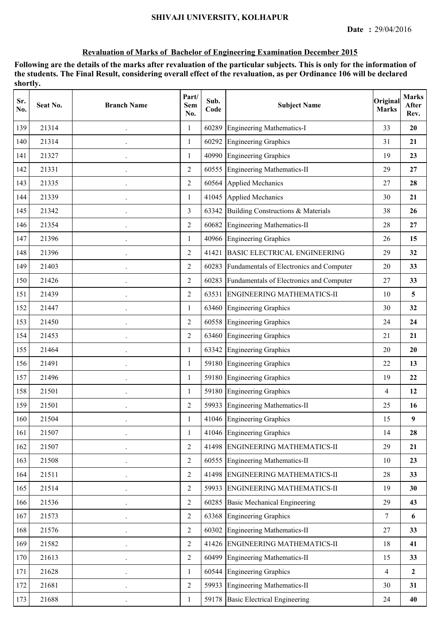| Sr.<br>No. | Seat No. | <b>Branch Name</b>   | Part/<br><b>Sem</b><br>No. | Sub.<br>Code | <b>Subject Name</b>                            | Original<br><b>Marks</b> | <b>Marks</b><br>After<br>Rev. |
|------------|----------|----------------------|----------------------------|--------------|------------------------------------------------|--------------------------|-------------------------------|
| 139        | 21314    |                      | 1                          | 60289        | <b>Engineering Mathematics-I</b>               | 33                       | 20                            |
| 140        | 21314    |                      | $\mathbf{1}$               | 60292        | <b>Engineering Graphics</b>                    | 31                       | 21                            |
| 141        | 21327    |                      | $\mathbf{1}$               |              | 40990 Engineering Graphics                     | 19                       | 23                            |
| 142        | 21331    |                      | $\overline{2}$             |              | 60555 Engineering Mathematics-II               | 29                       | 27                            |
| 143        | 21335    |                      | 2                          | 60564        | Applied Mechanics                              | 27                       | 28                            |
| 144        | 21339    |                      | $\mathbf{1}$               | 41045        | Applied Mechanics                              | 30                       | 21                            |
| 145        | 21342    |                      | 3                          | 63342        | Building Constructions & Materials             | 38                       | 26                            |
| 146        | 21354    |                      | $\overline{2}$             | 60682        | <b>Engineering Mathematics-II</b>              | 28                       | 27                            |
| 147        | 21396    |                      | 1                          |              | 40966 Engineering Graphics                     | 26                       | 15                            |
| 148        | 21396    |                      | $\overline{2}$             | 41421        | <b>BASIC ELECTRICAL ENGINEERING</b>            | 29                       | 32                            |
| 149        | 21403    |                      | $\overline{2}$             | 60283        | Fundamentals of Electronics and Computer       | 20                       | 33                            |
| 150        | 21426    |                      | $\overline{2}$             |              | 60283 Fundamentals of Electronics and Computer | 27                       | 33                            |
| 151        | 21439    |                      | $\overline{2}$             | 63531        | <b>ENGINEERING MATHEMATICS-II</b>              | 10                       | 5                             |
| 152        | 21447    |                      | $\mathbf{1}$               | 63460        | <b>Engineering Graphics</b>                    | 30                       | 32                            |
| 153        | 21450    |                      | 2                          | 60558        | <b>Engineering Graphics</b>                    | 24                       | 24                            |
| 154        | 21453    |                      | $\overline{2}$             | 63460        | Engineering Graphics                           | 21                       | 21                            |
| 155        | 21464    |                      | 1                          | 63342        | <b>Engineering Graphics</b>                    | 20                       | 20                            |
| 156        | 21491    |                      | $\mathbf{1}$               | 59180        | Engineering Graphics                           | 22                       | 13                            |
| 157        | 21496    |                      | $\mathbf{1}$               |              | 59180 Engineering Graphics                     | 19                       | 22                            |
| 158        | 21501    |                      | 1                          |              | 59180 Engineering Graphics                     | 4                        | 12                            |
| 159        | 21501    |                      | 2                          |              | 59933 Engineering Mathematics-II               | 25                       | 16                            |
| 160        | 21504    |                      |                            |              | 41046 Engineering Graphics                     | 15                       | 9                             |
| 161        | 21507    |                      | 1                          |              | 41046 Engineering Graphics                     | 14                       | 28                            |
| 162        | 21507    |                      | $\overline{2}$             |              | 41498 ENGINEERING MATHEMATICS-II               | 29                       | 21                            |
| 163        | 21508    |                      | 2                          | 60555        | <b>Engineering Mathematics-II</b>              | 10                       | 23                            |
| 164        | 21511    |                      | $\overline{2}$             |              | 41498 ENGINEERING MATHEMATICS-II               | 28                       | 33                            |
| 165        | 21514    | $\ddot{\phantom{0}}$ | $\overline{2}$             | 59933        | <b>ENGINEERING MATHEMATICS-II</b>              | 19                       | 30                            |
| 166        | 21536    |                      | $\overline{2}$             |              | 60285 Basic Mechanical Engineering             | 29                       | 43                            |
| 167        | 21573    |                      | $\overline{2}$             |              | 63368 Engineering Graphics                     | 7                        | 6                             |
| 168        | 21576    |                      | $\overline{2}$             | 60302        | <b>Engineering Mathematics-II</b>              | 27                       | 33                            |
| 169        | 21582    |                      | $\overline{2}$             |              | 41426 ENGINEERING MATHEMATICS-II               | 18                       | 41                            |
| 170        | 21613    |                      | $\overline{2}$             | 60499        | <b>Engineering Mathematics-II</b>              | 15                       | 33                            |
| 171        | 21628    |                      | 1                          |              | 60544 Engineering Graphics                     | 4                        | $\mathbf{2}$                  |
| 172        | 21681    |                      | $\overline{2}$             |              | 59933 Engineering Mathematics-II               | 30                       | 31                            |
| 173        | 21688    | $\cdot$              | 1                          |              | 59178 Basic Electrical Engineering             | 24                       | 40                            |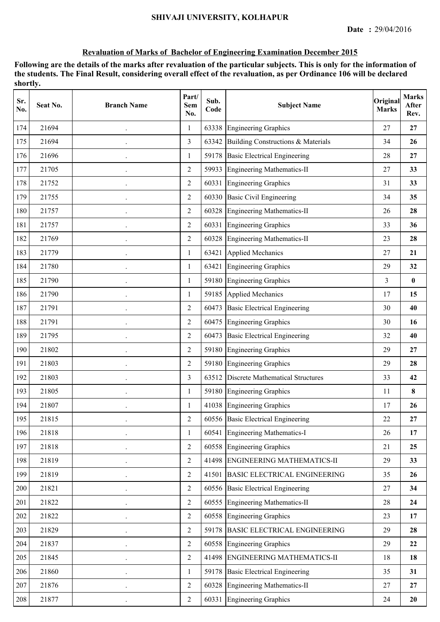| Sr.<br>No. | Seat No. | <b>Branch Name</b> | Part/<br><b>Sem</b><br>No. | Sub.<br>Code | <b>Subject Name</b>                     | Original<br><b>Marks</b> | <b>Marks</b><br>After<br>Rev. |
|------------|----------|--------------------|----------------------------|--------------|-----------------------------------------|--------------------------|-------------------------------|
| 174        | 21694    |                    | 1                          | 63338        | <b>Engineering Graphics</b>             | 27                       | 27                            |
| 175        | 21694    |                    | $\overline{3}$             | 63342        | Building Constructions & Materials      | 34                       | 26                            |
| 176        | 21696    |                    | $\mathbf{1}$               | 59178        | <b>Basic Electrical Engineering</b>     | 28                       | 27                            |
| 177        | 21705    |                    | $\overline{2}$             |              | 59933 Engineering Mathematics-II        | 27                       | 33                            |
| 178        | 21752    |                    | $\overline{2}$             |              | 60331 Engineering Graphics              | 31                       | 33                            |
| 179        | 21755    |                    | $\overline{2}$             |              | 60330 Basic Civil Engineering           | 34                       | 35                            |
| 180        | 21757    |                    | $\overline{2}$             | 60328        | Engineering Mathematics-II              | 26                       | 28                            |
| 181        | 21757    |                    | 2                          | 60331        | <b>Engineering Graphics</b>             | 33                       | 36                            |
| 182        | 21769    |                    | 2                          | 60328        | <b>Engineering Mathematics-II</b>       | 23                       | 28                            |
| 183        | 21779    |                    | 1                          | 63421        | <b>Applied Mechanics</b>                | 27                       | 21                            |
| 184        | 21780    |                    | $\mathbf{1}$               | 63421        | <b>Engineering Graphics</b>             | 29                       | 32                            |
| 185        | 21790    | $\cdot$            | $\mathbf{1}$               |              | 59180 Engineering Graphics              | 3                        | $\bf{0}$                      |
| 186        | 21790    |                    | 1                          |              | 59185 Applied Mechanics                 | 17                       | 15                            |
| 187        | 21791    |                    | $\overline{2}$             | 60473        | <b>Basic Electrical Engineering</b>     | 30                       | 40                            |
| 188        | 21791    |                    | $\overline{2}$             | 60475        | <b>Engineering Graphics</b>             | 30                       | 16                            |
| 189        | 21795    |                    | 2                          | 60473        | <b>Basic Electrical Engineering</b>     | 32                       | 40                            |
| 190        | 21802    |                    | 2                          | 59180        | <b>Engineering Graphics</b>             | 29                       | 27                            |
| 191        | 21803    |                    | $\overline{2}$             | 59180        | <b>Engineering Graphics</b>             | 29                       | 28                            |
| 192        | 21803    |                    | 3                          | 63512        | <b>Discrete Mathematical Structures</b> | 33                       | 42                            |
| 193        | 21805    |                    | $\mathbf{1}$               |              | 59180 Engineering Graphics              | 11                       | $\bf{8}$                      |
| 194        | 21807    |                    | 1                          |              | 41038 Engineering Graphics              | 17                       | 26                            |
| 195        | 21815    |                    | $\overline{2}$             |              | 60556 Basic Electrical Engineering      | 22                       | 27                            |
| 196        | 21818    |                    | 1                          | 60541        | <b>Engineering Mathematics-I</b>        | 26                       | 17                            |
| 197        | 21818    |                    | 2                          |              | 60558 Engineering Graphics              | 21                       | 25                            |
| 198        | 21819    |                    | $\overline{2}$             |              | 41498 ENGINEERING MATHEMATICS-II        | 29                       | 33                            |
| 199        | 21819    |                    | $\overline{2}$             |              | 41501 BASIC ELECTRICAL ENGINEERING      | 35                       | 26                            |
| 200        | 21821    |                    | $\overline{2}$             |              | 60556 Basic Electrical Engineering      | $27\,$                   | 34                            |
| 201        | 21822    |                    | $\overline{2}$             |              | 60555 Engineering Mathematics-II        | 28                       | 24                            |
| 202        | 21822    |                    | $\overline{2}$             |              | 60558 Engineering Graphics              | 23                       | 17                            |
| 203        | 21829    |                    | $\overline{2}$             |              | 59178 BASIC ELECTRICAL ENGINEERING      | 29                       | 28                            |
| 204        | 21837    |                    | $\overline{2}$             |              | 60558 Engineering Graphics              | 29                       | 22                            |
| 205        | 21845    |                    | $\overline{2}$             |              | 41498 ENGINEERING MATHEMATICS-II        | 18                       | 18                            |
| 206        | 21860    |                    | 1                          | 59178        | <b>Basic Electrical Engineering</b>     | 35                       | 31                            |
| 207        | 21876    |                    | $\overline{2}$             |              | 60328 Engineering Mathematics-II        | $27\,$                   | 27                            |
| 208        | 21877    |                    | $\sqrt{2}$                 |              | 60331 Engineering Graphics              | 24                       | 20                            |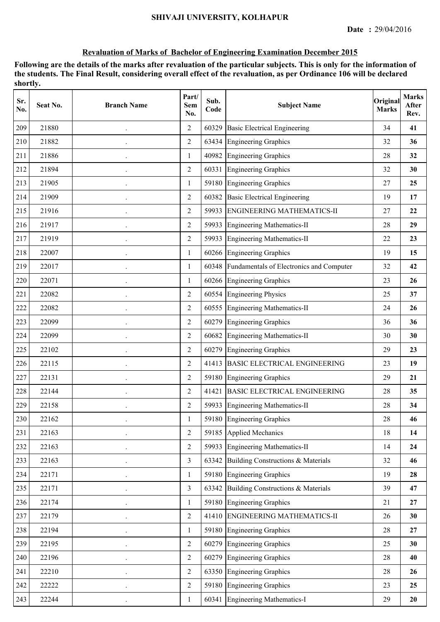| Sr.<br>No. | Seat No. | <b>Branch Name</b> | Part/<br><b>Sem</b><br>No. | Sub.<br>Code | <b>Subject Name</b>                            | Original<br><b>Marks</b> | <b>Marks</b><br>After<br>Rev. |
|------------|----------|--------------------|----------------------------|--------------|------------------------------------------------|--------------------------|-------------------------------|
| 209        | 21880    |                    | 2                          | 60329        | <b>Basic Electrical Engineering</b>            | 34                       | 41                            |
| 210        | 21882    |                    | $\overline{2}$             | 63434        | <b>Engineering Graphics</b>                    | 32                       | 36                            |
| 211        | 21886    |                    | 1                          |              | 40982 Engineering Graphics                     | 28                       | 32                            |
| 212        | 21894    |                    | $\overline{2}$             |              | 60331 Engineering Graphics                     | 32                       | 30                            |
| 213        | 21905    |                    | 1                          |              | 59180 Engineering Graphics                     | 27                       | 25                            |
| 214        | 21909    |                    | $\overline{2}$             | 60382        | <b>Basic Electrical Engineering</b>            | 19                       | 17                            |
| 215        | 21916    |                    | $\overline{2}$             | 59933        | <b>ENGINEERING MATHEMATICS-II</b>              | 27                       | 22                            |
| 216        | 21917    |                    | 2                          | 59933        | Engineering Mathematics-II                     | 28                       | 29                            |
| 217        | 21919    |                    | 2                          | 59933        | <b>Engineering Mathematics-II</b>              | 22                       | 23                            |
| 218        | 22007    |                    | $\mathbf{1}$               |              | 60266 Engineering Graphics                     | 19                       | 15                            |
| 219        | 22017    |                    | 1                          |              | 60348 Fundamentals of Electronics and Computer | 32                       | 42                            |
| 220        | 22071    |                    | 1                          |              | 60266 Engineering Graphics                     | 23                       | 26                            |
| 221        | 22082    |                    | 2                          |              | 60554 Engineering Physics                      | 25                       | 37                            |
| 222        | 22082    |                    | $\overline{2}$             | 60555        | <b>Engineering Mathematics-II</b>              | 24                       | 26                            |
| 223        | 22099    |                    | 2                          | 60279        | <b>Engineering Graphics</b>                    | 36                       | 36                            |
| 224        | 22099    |                    | $\overline{2}$             | 60682        | Engineering Mathematics-II                     | 30                       | 30                            |
| 225        | 22102    |                    | 2                          | 60279        | <b>Engineering Graphics</b>                    | 29                       | 23                            |
| 226        | 22115    |                    | $\overline{2}$             | 41413        | <b>BASIC ELECTRICAL ENGINEERING</b>            | 23                       | 19                            |
| 227        | 22131    |                    | $\overline{2}$             |              | 59180 Engineering Graphics                     | 29                       | 21                            |
| 228        | 22144    |                    | $\overline{2}$             |              | 41421 BASIC ELECTRICAL ENGINEERING             | 28                       | 35                            |
| 229        | 22158    |                    | 2                          |              | 59933 Engineering Mathematics-II               | 28                       | 34                            |
| 230        | 22162    |                    |                            |              | 59180 Engineering Graphics                     | 28                       | 46                            |
| 231        | 22163    |                    | 2                          | 59185        | Applied Mechanics                              | 18                       | 14                            |
| 232        | 22163    |                    | $\overline{2}$             |              | 59933 Engineering Mathematics-II               | 14                       | 24                            |
| 233        | 22163    |                    | $\overline{3}$             | 63342        | Building Constructions & Materials             | 32                       | 46                            |
| 234        | 22171    |                    | $\mathbf{1}$               |              | 59180 Engineering Graphics                     | 19                       | 28                            |
| 235        | 22171    |                    | $\overline{3}$             |              | 63342 Building Constructions & Materials       | 39                       | 47                            |
| 236        | 22174    |                    | 1                          |              | 59180 Engineering Graphics                     | 21                       | 27                            |
| 237        | 22179    |                    | $\overline{2}$             |              | 41410 ENGINEERING MATHEMATICS-II               | 26                       | 30                            |
| 238        | 22194    |                    | $\mathbf{1}$               |              | 59180 Engineering Graphics                     | 28                       | 27                            |
| 239        | 22195    |                    | $\overline{2}$             |              | 60279 Engineering Graphics                     | 25                       | 30                            |
| 240        | 22196    |                    | $\overline{2}$             | 60279        | <b>Engineering Graphics</b>                    | 28                       | 40                            |
| 241        | 22210    |                    | $\overline{2}$             |              | 63350 Engineering Graphics                     | 28                       | 26                            |
| 242        | 22222    |                    | $\overline{2}$             |              | 59180 Engineering Graphics                     | 23                       | 25                            |
| 243        | 22244    |                    | $\mathbf{1}$               |              | 60341 Engineering Mathematics-I                | 29                       | 20                            |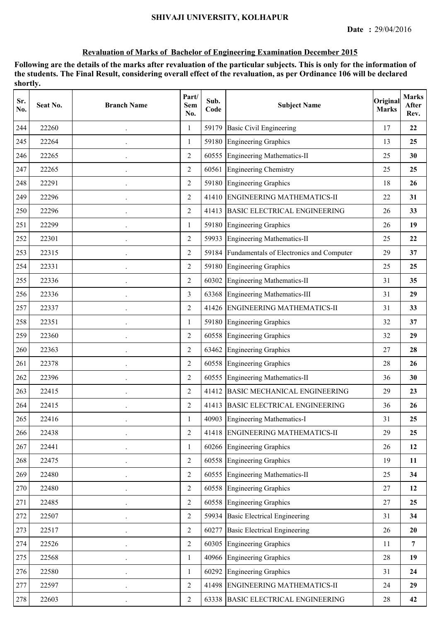| Sr.<br>No. | Seat No. | <b>Branch Name</b>   | Part/<br>Sem<br>No. | Sub.<br>Code | <b>Subject Name</b>                      | Original<br><b>Marks</b> | <b>Marks</b><br>After<br>Rev. |
|------------|----------|----------------------|---------------------|--------------|------------------------------------------|--------------------------|-------------------------------|
| 244        | 22260    |                      | 1                   | 59179        | <b>Basic Civil Engineering</b>           | 17                       | 22                            |
| 245        | 22264    |                      | 1                   |              | 59180 Engineering Graphics               | 13                       | 25                            |
| 246        | 22265    |                      | $\overline{2}$      |              | 60555 Engineering Mathematics-II         | 25                       | 30                            |
| 247        | 22265    |                      | $\overline{2}$      |              | 60561 Engineering Chemistry              | 25                       | 25                            |
| 248        | 22291    |                      | $\overline{2}$      |              | 59180 Engineering Graphics               | 18                       | 26                            |
| 249        | 22296    |                      | $\overline{2}$      |              | 41410 ENGINEERING MATHEMATICS-II         | 22                       | 31                            |
| 250        | 22296    |                      | $\overline{2}$      | 41413        | <b>BASIC ELECTRICAL ENGINEERING</b>      | 26                       | 33                            |
| 251        | 22299    |                      | 1                   | 59180        | <b>Engineering Graphics</b>              | 26                       | 19                            |
| 252        | 22301    |                      | $\overline{2}$      |              | 59933 Engineering Mathematics-II         | 25                       | 22                            |
| 253        | 22315    |                      | 2                   | 59184        | Fundamentals of Electronics and Computer | 29                       | 37                            |
| 254        | 22331    |                      | $\overline{2}$      |              | 59180 Engineering Graphics               | 25                       | 25                            |
| 255        | 22336    |                      | $\overline{2}$      |              | 60302 Engineering Mathematics-II         | 31                       | 35                            |
| 256        | 22336    |                      | 3                   |              | 63368 Engineering Mathematics-III        | 31                       | 29                            |
| 257        | 22337    |                      | 2                   |              | 41426 ENGINEERING MATHEMATICS-II         | 31                       | 33                            |
| 258        | 22351    |                      | $\mathbf{1}$        | 59180        | <b>Engineering Graphics</b>              | 32                       | 37                            |
| 259        | 22360    |                      | 2                   | 60558        | <b>Engineering Graphics</b>              | 32                       | 29                            |
| 260        | 22363    |                      | 2                   | 63462        | <b>Engineering Graphics</b>              | 27                       | 28                            |
| 261        | 22378    |                      | 2                   | 60558        | <b>Engineering Graphics</b>              | 28                       | 26                            |
| 262        | 22396    |                      | $\overline{2}$      | 60555        | <b>Engineering Mathematics-II</b>        | 36                       | 30                            |
| 263        | 22415    |                      | $\overline{2}$      |              | 41412 BASIC MECHANICAL ENGINEERING       | 29                       | 23                            |
| 264        | 22415    |                      | $\overline{2}$      |              | 41413 BASIC ELECTRICAL ENGINEERING       | 36                       | 26                            |
| 265        | 22416    |                      |                     |              | 40903 Engineering Mathematics-I          | 31                       | 25                            |
| 266        | 22438    |                      | $\overline{2}$      |              | 41418 ENGINEERING MATHEMATICS-II         | 29                       | 25                            |
| 267        | 22441    |                      | 1                   |              | 60266 Engineering Graphics               | 26                       | 12                            |
| 268        | 22475    |                      | $\overline{2}$      |              | 60558 Engineering Graphics               | 19                       | 11                            |
| 269        | 22480    |                      | $\overline{2}$      |              | 60555 Engineering Mathematics-II         | 25                       | 34                            |
| 270        | 22480    |                      | $\overline{2}$      |              | 60558 Engineering Graphics               | 27                       | 12                            |
| 271        | 22485    |                      | $\overline{2}$      |              | 60558 Engineering Graphics               | 27                       | 25                            |
| 272        | 22507    |                      | $\overline{2}$      |              | 59934 Basic Electrical Engineering       | 31                       | 34                            |
| 273        | 22517    |                      | $\overline{2}$      |              | 60277 Basic Electrical Engineering       | 26                       | 20                            |
| 274        | 22526    |                      | $\overline{2}$      |              | 60305 Engineering Graphics               | 11                       | $\overline{7}$                |
| 275        | 22568    | $\ddot{\phantom{0}}$ | $\mathbf{1}$        |              | 40966 Engineering Graphics               | 28                       | 19                            |
| 276        | 22580    |                      | 1                   |              | 60292 Engineering Graphics               | 31                       | 24                            |
| 277        | 22597    |                      | 2                   |              | 41498 ENGINEERING MATHEMATICS-II         | 24                       | 29                            |
| 278        | 22603    |                      | $\overline{2}$      |              | 63338 BASIC ELECTRICAL ENGINEERING       | 28                       | 42                            |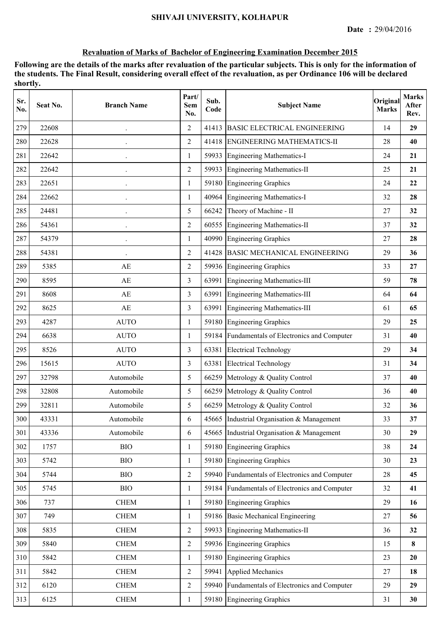| Sr.<br>No. | Seat No. | <b>Branch Name</b> | Part/<br><b>Sem</b><br>No. | Sub.<br>Code | <b>Subject Name</b>                            | Original<br><b>Marks</b> | <b>Marks</b><br>After<br>Rev. |
|------------|----------|--------------------|----------------------------|--------------|------------------------------------------------|--------------------------|-------------------------------|
| 279        | 22608    |                    | $\overline{2}$             | 41413        | <b>BASIC ELECTRICAL ENGINEERING</b>            | 14                       | 29                            |
| 280        | 22628    |                    | $\overline{2}$             | 41418        | ENGINEERING MATHEMATICS-II                     | 28                       | 40                            |
| 281        | 22642    |                    | 1                          | 59933        | <b>Engineering Mathematics-I</b>               | 24                       | 21                            |
| 282        | 22642    |                    | $\overline{2}$             |              | 59933 Engineering Mathematics-II               | 25                       | 21                            |
| 283        | 22651    |                    | 1                          | 59180        | <b>Engineering Graphics</b>                    | 24                       | 22                            |
| 284        | 22662    |                    | 1                          | 40964        | <b>Engineering Mathematics-I</b>               | 32                       | 28                            |
| 285        | 24481    |                    | 5                          | 66242        | Theory of Machine - II                         | 27                       | 32                            |
| 286        | 54361    |                    | $\overline{2}$             | 60555        | <b>Engineering Mathematics-II</b>              | 37                       | 32                            |
| 287        | 54379    |                    | 1                          |              | 40990 Engineering Graphics                     | 27                       | 28                            |
| 288        | 54381    |                    | $\overline{2}$             | 41428        | <b>BASIC MECHANICAL ENGINEERING</b>            | 29                       | 36                            |
| 289        | 5385     | AE                 | $\overline{2}$             |              | 59936 Engineering Graphics                     | 33                       | 27                            |
| 290        | 8595     | AE                 | 3                          | 63991        | Engineering Mathematics-III                    | 59                       | 78                            |
| 291        | 8608     | AE                 | 3                          | 63991        | <b>Engineering Mathematics-III</b>             | 64                       | 64                            |
| 292        | 8625     | AE                 | 3                          | 63991        | <b>Engineering Mathematics-III</b>             | 61                       | 65                            |
| 293        | 4287     | <b>AUTO</b>        | 1                          | 59180        | <b>Engineering Graphics</b>                    | 29                       | 25                            |
| 294        | 6638     | <b>AUTO</b>        | 1                          | 59184        | Fundamentals of Electronics and Computer       | 31                       | 40                            |
| 295        | 8526     | <b>AUTO</b>        | 3                          | 63381        | <b>Electrical Technology</b>                   | 29                       | 34                            |
| 296        | 15615    | <b>AUTO</b>        | 3                          | 63381        | <b>Electrical Technology</b>                   | 31                       | 34                            |
| 297        | 32798    | Automobile         | 5                          |              | 66259 Metrology & Quality Control              | 37                       | 40                            |
| 298        | 32808    | Automobile         | 5                          |              | 66259 Metrology & Quality Control              | 36                       | 40                            |
| 299        | 32811    | Automobile         | 5                          |              | 66259 Metrology & Quality Control              | 32                       | 36                            |
| 300        | 43331    | Automobile         | 6                          |              | 45665 Industrial Organisation & Management     | 33                       | 37                            |
| 301        | 43336    | Automobile         | 6                          | 45665        | Industrial Organisation & Management           | 30                       | 29                            |
| 302        | 1757     | <b>BIO</b>         | 1                          | 59180        | <b>Engineering Graphics</b>                    | 38                       | 24                            |
| 303        | 5742     | <b>BIO</b>         | 1                          | 59180        | <b>Engineering Graphics</b>                    | 30                       | 23                            |
| 304        | 5744     | <b>BIO</b>         | $\overline{2}$             | 59940        | Fundamentals of Electronics and Computer       | 28                       | 45                            |
| 305        | 5745     | <b>BIO</b>         | 1                          |              | 59184 Fundamentals of Electronics and Computer | 32                       | 41                            |
| 306        | 737      | <b>CHEM</b>        | $\mathbf{1}$               |              | 59180 Engineering Graphics                     | 29                       | 16                            |
| 307        | 749      | <b>CHEM</b>        | 1                          |              | 59186 Basic Mechanical Engineering             | 27                       | 56                            |
| 308        | 5835     | <b>CHEM</b>        | $\overline{2}$             | 59933        | <b>Engineering Mathematics-II</b>              | 36                       | 32                            |
| 309        | 5840     | <b>CHEM</b>        | $\overline{2}$             | 59936        | <b>Engineering Graphics</b>                    | 15                       | 8                             |
| 310        | 5842     | <b>CHEM</b>        | 1                          | 59180        | <b>Engineering Graphics</b>                    | 23                       | 20                            |
| 311        | 5842     | <b>CHEM</b>        | $\overline{2}$             | 59941        | Applied Mechanics                              | 27                       | 18                            |
| 312        | 6120     | <b>CHEM</b>        | $\overline{2}$             | 59940        | Fundamentals of Electronics and Computer       | 29                       | 29                            |
| 313        | 6125     | <b>CHEM</b>        | 1                          |              | 59180 Engineering Graphics                     | 31                       | 30                            |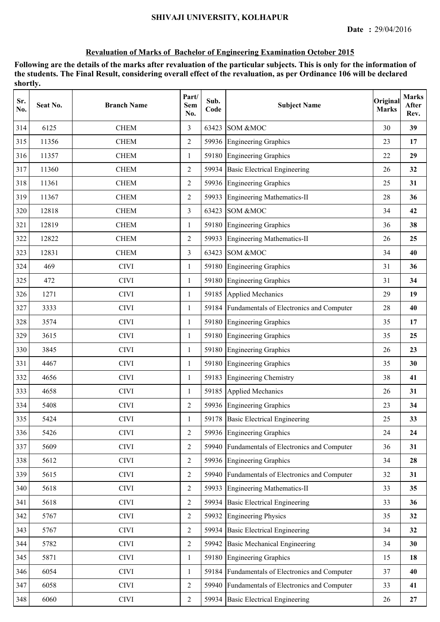| Sr.<br>No. | Seat No. | <b>Branch Name</b> | Part/<br><b>Sem</b><br>No. | Sub.<br>Code | <b>Subject Name</b>                            | Original<br><b>Marks</b> | <b>Marks</b><br>After<br>Rev. |
|------------|----------|--------------------|----------------------------|--------------|------------------------------------------------|--------------------------|-------------------------------|
| 314        | 6125     | <b>CHEM</b>        | 3                          | 63423        | SOM &MOC                                       | 30                       | 39                            |
| 315        | 11356    | <b>CHEM</b>        | $\overline{2}$             |              | 59936 Engineering Graphics                     | 23                       | 17                            |
| 316        | 11357    | <b>CHEM</b>        | 1                          |              | 59180 Engineering Graphics                     | 22                       | 29                            |
| 317        | 11360    | <b>CHEM</b>        | $\overline{2}$             |              | 59934 Basic Electrical Engineering             | 26                       | 32                            |
| 318        | 11361    | <b>CHEM</b>        | 2                          |              | 59936 Engineering Graphics                     | 25                       | 31                            |
| 319        | 11367    | <b>CHEM</b>        | $\overline{2}$             | 59933        | <b>Engineering Mathematics-II</b>              | 28                       | 36                            |
| 320        | 12818    | <b>CHEM</b>        | 3                          | 63423        | SOM &MOC                                       | 34                       | 42                            |
| 321        | 12819    | <b>CHEM</b>        | 1                          | 59180        | <b>Engineering Graphics</b>                    | 36                       | 38                            |
| 322        | 12822    | <b>CHEM</b>        | 2                          | 59933        | Engineering Mathematics-II                     | 26                       | 25                            |
| 323        | 12831    | <b>CHEM</b>        | $\overline{3}$             | 63423        | SOM &MOC                                       | 34                       | 40                            |
| 324        | 469      | <b>CIVI</b>        | $\mathbf{1}$               |              | 59180 Engineering Graphics                     | 31                       | 36                            |
| 325        | 472      | <b>CIVI</b>        | 1                          |              | 59180 Engineering Graphics                     | 31                       | 34                            |
| 326        | 1271     | <b>CIVI</b>        | 1                          |              | 59185 Applied Mechanics                        | 29                       | 19                            |
| 327        | 3333     | <b>CIVI</b>        | $\mathbf{1}$               |              | 59184 Fundamentals of Electronics and Computer | 28                       | 40                            |
| 328        | 3574     | <b>CIVI</b>        | 1                          | 59180        | <b>Engineering Graphics</b>                    | 35                       | 17                            |
| 329        | 3615     | <b>CIVI</b>        | $\mathbf{1}$               |              | 59180 Engineering Graphics                     | 35                       | 25                            |
| 330        | 3845     | <b>CIVI</b>        | 1                          | 59180        | <b>Engineering Graphics</b>                    | 26                       | 23                            |
| 331        | 4467     | <b>CIVI</b>        | $\mathbf{1}$               |              | 59180 Engineering Graphics                     | 35                       | 30                            |
| 332        | 4656     | <b>CIVI</b>        | $\mathbf{1}$               |              | 59183 Engineering Chemistry                    | 38                       | 41                            |
| 333        | 4658     | <b>CIVI</b>        | $\mathbf{1}$               |              | 59185 Applied Mechanics                        | 26                       | 31                            |
| 334        | 5408     | <b>CIVI</b>        | 2                          |              | 59936 Engineering Graphics                     | 23                       | 34                            |
| 335        | 5424     | <b>CIVI</b>        |                            |              | 59178 Basic Electrical Engineering             | 25                       | 33                            |
| 336        | 5426     | <b>CIVI</b>        | 2                          |              | 59936 Engineering Graphics                     | 24                       | 24                            |
| 337        | 5609     | <b>CIVI</b>        | $\overline{2}$             | 59940        | Fundamentals of Electronics and Computer       | 36                       | 31                            |
| 338        | 5612     | <b>CIVI</b>        | 2                          |              | 59936 Engineering Graphics                     | 34                       | 28                            |
| 339        | 5615     | <b>CIVI</b>        | $\overline{2}$             | 59940        | Fundamentals of Electronics and Computer       | 32                       | 31                            |
| 340        | 5618     | <b>CIVI</b>        | $\overline{2}$             | 59933        | Engineering Mathematics-II                     | 33                       | 35                            |
| 341        | 5618     | <b>CIVI</b>        | $\overline{2}$             | 59934        | <b>Basic Electrical Engineering</b>            | 33                       | 36                            |
| 342        | 5767     | <b>CIVI</b>        | $\overline{2}$             | 59932        | Engineering Physics                            | 35                       | 32                            |
| 343        | 5767     | <b>CIVI</b>        | $\overline{2}$             | 59934        | <b>Basic Electrical Engineering</b>            | 34                       | 32                            |
| 344        | 5782     | <b>CIVI</b>        | $\overline{2}$             | 59942        | <b>Basic Mechanical Engineering</b>            | 34                       | 30                            |
| 345        | 5871     | <b>CIVI</b>        | 1                          | 59180        | <b>Engineering Graphics</b>                    | 15                       | 18                            |
| 346        | 6054     | <b>CIVI</b>        | 1                          | 59184        | Fundamentals of Electronics and Computer       | 37                       | 40                            |
| 347        | 6058     | <b>CIVI</b>        | $\overline{2}$             | 59940        | Fundamentals of Electronics and Computer       | 33                       | 41                            |
| 348        | 6060     | <b>CIVI</b>        | $\overline{2}$             |              | 59934 Basic Electrical Engineering             | 26                       | 27                            |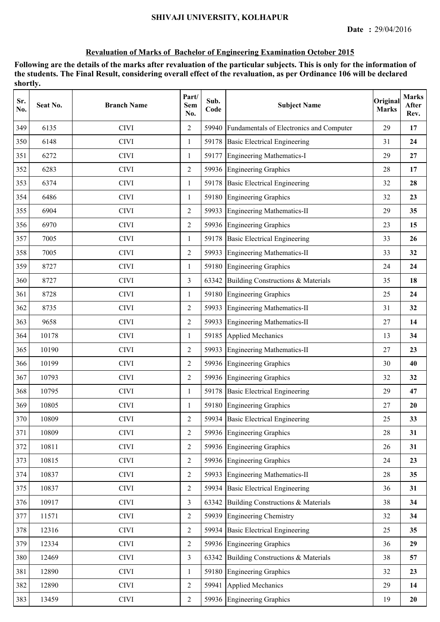| Sr.<br>No. | Seat No. | <b>Branch Name</b> | Part/<br>Sem<br>No. | Sub.<br>Code | <b>Subject Name</b>                      | Original<br><b>Marks</b> | <b>Marks</b><br>After<br>Rev. |
|------------|----------|--------------------|---------------------|--------------|------------------------------------------|--------------------------|-------------------------------|
| 349        | 6135     | <b>CIVI</b>        | $\overline{2}$      | 59940        | Fundamentals of Electronics and Computer | 29                       | 17                            |
| 350        | 6148     | <b>CIVI</b>        | $\mathbf{1}$        |              | 59178 Basic Electrical Engineering       | 31                       | 24                            |
| 351        | 6272     | <b>CIVI</b>        | $\mathbf{1}$        |              | 59177 Engineering Mathematics-I          | 29                       | 27                            |
| 352        | 6283     | <b>CIVI</b>        | 2                   |              | 59936 Engineering Graphics               | 28                       | 17                            |
| 353        | 6374     | <b>CIVI</b>        | 1                   |              | 59178 Basic Electrical Engineering       | 32                       | 28                            |
| 354        | 6486     | <b>CIVI</b>        | 1                   | 59180        | <b>Engineering Graphics</b>              | 32                       | 23                            |
| 355        | 6904     | <b>CIVI</b>        | 2                   | 59933        | Engineering Mathematics-II               | 29                       | 35                            |
| 356        | 6970     | <b>CIVI</b>        | 2                   | 59936        | <b>Engineering Graphics</b>              | 23                       | 15                            |
| 357        | 7005     | <b>CIVI</b>        | $\mathbf{1}$        |              | 59178 Basic Electrical Engineering       | 33                       | 26                            |
| 358        | 7005     | <b>CIVI</b>        | $\overline{2}$      |              | 59933 Engineering Mathematics-II         | 33                       | 32                            |
| 359        | 8727     | <b>CIVI</b>        | $\mathbf{1}$        |              | 59180 Engineering Graphics               | 24                       | 24                            |
| 360        | 8727     | <b>CIVI</b>        | 3                   | 63342        | Building Constructions & Materials       | 35                       | 18                            |
| 361        | 8728     | <b>CIVI</b>        | 1                   | 59180        | <b>Engineering Graphics</b>              | 25                       | 24                            |
| 362        | 8735     | <b>CIVI</b>        | $\overline{2}$      | 59933        | <b>Engineering Mathematics-II</b>        | 31                       | 32                            |
| 363        | 9658     | <b>CIVI</b>        | 2                   | 59933        | Engineering Mathematics-II               | 27                       | 14                            |
| 364        | 10178    | <b>CIVI</b>        | 1                   | 59185        | Applied Mechanics                        | 13                       | 34                            |
| 365        | 10190    | <b>CIVI</b>        | $\overline{2}$      | 59933        | <b>Engineering Mathematics-II</b>        | 27                       | 23                            |
| 366        | 10199    | <b>CIVI</b>        | $\overline{2}$      |              | 59936 Engineering Graphics               | 30                       | 40                            |
| 367        | 10793    | <b>CIVI</b>        | $\overline{2}$      |              | 59936 Engineering Graphics               | 32                       | 32                            |
| 368        | 10795    | <b>CIVI</b>        | 1                   |              | 59178 Basic Electrical Engineering       | 29                       | 47                            |
| 369        | 10805    | <b>CIVI</b>        | 1                   |              | 59180 Engineering Graphics               | 27                       | 20                            |
| 370        | 10809    | <b>CIVI</b>        | $\overline{2}$      |              | 59934 Basic Electrical Engineering       | 25                       | 33                            |
| 371        | 10809    | <b>CIVI</b>        | 2                   |              | 59936 Engineering Graphics               | 28                       | 31                            |
| 372        | 10811    | <b>CIVI</b>        | $\overline{2}$      |              | 59936 Engineering Graphics               | 26                       | 31                            |
| 373        | 10815    | <b>CIVI</b>        | $\overline{2}$      |              | 59936 Engineering Graphics               | 24                       | 23                            |
| 374        | 10837    | <b>CIVI</b>        | $\overline{2}$      |              | 59933 Engineering Mathematics-II         | 28                       | 35                            |
| 375        | 10837    | <b>CIVI</b>        | $\overline{2}$      |              | 59934 Basic Electrical Engineering       | 36                       | 31                            |
| 376        | 10917    | <b>CIVI</b>        | $\overline{3}$      | 63342        | Building Constructions & Materials       | 38                       | 34                            |
| 377        | 11571    | <b>CIVI</b>        | $\overline{2}$      |              | 59939 Engineering Chemistry              | 32                       | 34                            |
| 378        | 12316    | <b>CIVI</b>        | $\overline{2}$      |              | 59934 Basic Electrical Engineering       | 25                       | 35                            |
| 379        | 12334    | <b>CIVI</b>        | $\overline{2}$      |              | 59936 Engineering Graphics               | 36                       | 29                            |
| 380        | 12469    | <b>CIVI</b>        | $\overline{3}$      | 63342        | Building Constructions & Materials       | 38                       | 57                            |
| 381        | 12890    | <b>CIVI</b>        | $\mathbf{1}$        |              | 59180 Engineering Graphics               | 32                       | 23                            |
| 382        | 12890    | <b>CIVI</b>        | $\overline{2}$      | 59941        | Applied Mechanics                        | 29                       | 14                            |
| 383        | 13459    | $\rm CIVI$         | $\overline{2}$      |              | 59936 Engineering Graphics               | 19                       | 20                            |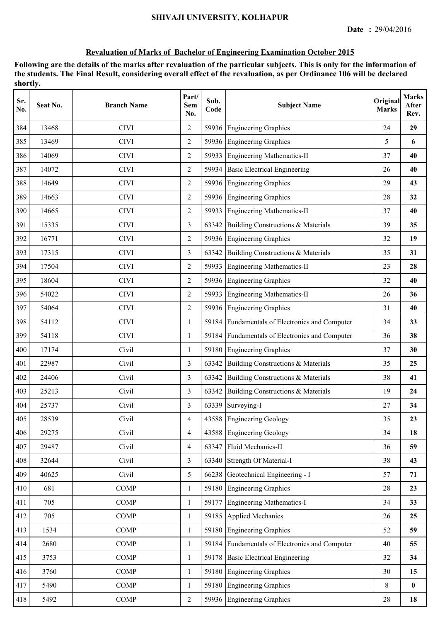| Sr.<br>No. | Seat No. | <b>Branch Name</b> | Part/<br><b>Sem</b><br>No. | Sub.<br>Code | <b>Subject Name</b>                            | Original<br><b>Marks</b> | <b>Marks</b><br>After<br>Rev. |
|------------|----------|--------------------|----------------------------|--------------|------------------------------------------------|--------------------------|-------------------------------|
| 384        | 13468    | <b>CIVI</b>        | 2                          | 59936        | <b>Engineering Graphics</b>                    | 24                       | 29                            |
| 385        | 13469    | <b>CIVI</b>        | $\overline{2}$             |              | 59936 Engineering Graphics                     | 5                        | 6                             |
| 386        | 14069    | <b>CIVI</b>        | 2                          | 59933        | Engineering Mathematics-II                     | 37                       | 40                            |
| 387        | 14072    | <b>CIVI</b>        | $\overline{2}$             |              | 59934 Basic Electrical Engineering             | 26                       | 40                            |
| 388        | 14649    | <b>CIVI</b>        | 2                          |              | 59936 Engineering Graphics                     | 29                       | 43                            |
| 389        | 14663    | <b>CIVI</b>        | $\overline{2}$             | 59936        | <b>Engineering Graphics</b>                    | 28                       | 32                            |
| 390        | 14665    | <b>CIVI</b>        | 2                          | 59933        | <b>Engineering Mathematics-II</b>              | 37                       | 40                            |
| 391        | 15335    | <b>CIVI</b>        | 3                          | 63342        | Building Constructions & Materials             | 39                       | 35                            |
| 392        | 16771    | <b>CIVI</b>        | $\overline{2}$             |              | 59936 Engineering Graphics                     | 32                       | 19                            |
| 393        | 17315    | <b>CIVI</b>        | 3                          | 63342        | Building Constructions & Materials             | 35                       | 31                            |
| 394        | 17504    | <b>CIVI</b>        | $\overline{2}$             | 59933        | Engineering Mathematics-II                     | 23                       | 28                            |
| 395        | 18604    | <b>CIVI</b>        | $\overline{2}$             |              | 59936 Engineering Graphics                     | 32                       | 40                            |
| 396        | 54022    | <b>CIVI</b>        | 2                          |              | 59933 Engineering Mathematics-II               | 26                       | 36                            |
| 397        | 54064    | <b>CIVI</b>        | $\overline{2}$             |              | 59936 Engineering Graphics                     | 31                       | 40                            |
| 398        | 54112    | <b>CIVI</b>        | 1                          |              | 59184 Fundamentals of Electronics and Computer | 34                       | 33                            |
| 399        | 54118    | <b>CIVI</b>        | 1                          |              | 59184 Fundamentals of Electronics and Computer | 36                       | 38                            |
| 400        | 17174    | Civil              | 1                          | 59180        | <b>Engineering Graphics</b>                    | 37                       | 30                            |
| 401        | 22987    | Civil              | 3                          | 63342        | Building Constructions & Materials             | 35                       | 25                            |
| 402        | 24406    | Civil              | 3                          |              | 63342 Building Constructions & Materials       | 38                       | 41                            |
| 403        | 25213    | Civil              | 3                          |              | 63342 Building Constructions & Materials       | 19                       | 24                            |
| 404        | 25737    | Civil              | 3                          |              | 63339 Surveying-I                              | 27                       | 34                            |
| 405        | 28539    | Civil              | 4                          |              | 43588 Engineering Geology                      | 35                       | 23                            |
| 406        | 29275    | Civil              | $\overline{4}$             | 43588        | <b>Engineering Geology</b>                     | 34                       | 18                            |
| 407        | 29487    | Civil              | $\overline{4}$             |              | 63347 Fluid Mechanics-II                       | 36                       | 59                            |
| 408        | 32644    | Civil              | 3                          | 63340        | Strength Of Material-I                         | 38                       | 43                            |
| 409        | 40625    | Civil              | 5                          |              | 66238 Geotechnical Engineering - I             | 57                       | 71                            |
| 410        | 681      | <b>COMP</b>        | $\mathbf{1}$               |              | 59180 Engineering Graphics                     | 28                       | 23                            |
| 411        | 705      | <b>COMP</b>        | $\mathbf{1}$               |              | 59177 Engineering Mathematics-I                | 34                       | 33                            |
| 412        | 705      | <b>COMP</b>        | 1                          |              | 59185 Applied Mechanics                        | 26                       | 25                            |
| 413        | 1534     | <b>COMP</b>        | $\mathbf{1}$               | 59180        | <b>Engineering Graphics</b>                    | 52                       | 59                            |
| 414        | 2680     | <b>COMP</b>        | 1                          | 59184        | Fundamentals of Electronics and Computer       | 40                       | 55                            |
| 415        | 3753     | <b>COMP</b>        | 1                          | 59178        | <b>Basic Electrical Engineering</b>            | 32                       | 34                            |
| 416        | 3760     | <b>COMP</b>        | 1                          |              | 59180 Engineering Graphics                     | 30                       | 15                            |
| 417        | 5490     | <b>COMP</b>        | $\mathbf{1}$               |              | 59180 Engineering Graphics                     | $8\,$                    | $\bf{0}$                      |
| 418        | 5492     | <b>COMP</b>        | $\sqrt{2}$                 |              | 59936 Engineering Graphics                     | 28                       | 18                            |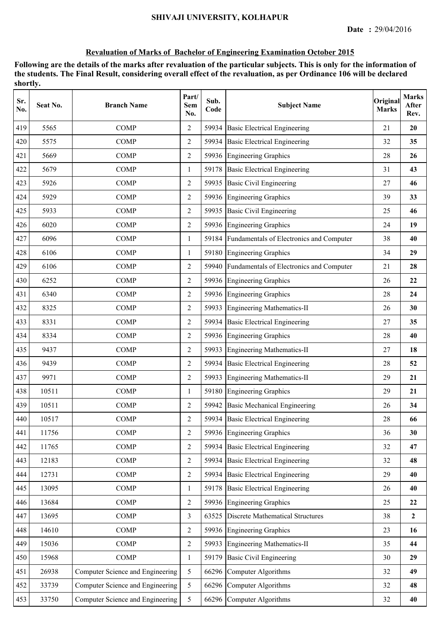| Sr.<br>No. | Seat No. | <b>Branch Name</b>               | Part/<br><b>Sem</b><br>No. | Sub.<br>Code | <b>Subject Name</b>                            | Original<br><b>Marks</b> | <b>Marks</b><br>After<br>Rev. |
|------------|----------|----------------------------------|----------------------------|--------------|------------------------------------------------|--------------------------|-------------------------------|
| 419        | 5565     | <b>COMP</b>                      | $\overline{2}$             | 59934        | <b>Basic Electrical Engineering</b>            | 21                       | 20                            |
| 420        | 5575     | <b>COMP</b>                      | 2                          |              | 59934 Basic Electrical Engineering             | 32                       | 35                            |
| 421        | 5669     | <b>COMP</b>                      | $\overline{2}$             |              | 59936 Engineering Graphics                     | 28                       | 26                            |
| 422        | 5679     | <b>COMP</b>                      | 1                          |              | 59178 Basic Electrical Engineering             | 31                       | 43                            |
| 423        | 5926     | <b>COMP</b>                      | 2                          |              | 59935 Basic Civil Engineering                  | 27                       | 46                            |
| 424        | 5929     | <b>COMP</b>                      | $\overline{2}$             |              | 59936 Engineering Graphics                     | 39                       | 33                            |
| 425        | 5933     | <b>COMP</b>                      | $\overline{2}$             | 59935        | <b>Basic Civil Engineering</b>                 | 25                       | 46                            |
| 426        | 6020     | <b>COMP</b>                      | 2                          |              | 59936 Engineering Graphics                     | 24                       | 19                            |
| 427        | 6096     | <b>COMP</b>                      | 1                          | 59184        | Fundamentals of Electronics and Computer       | 38                       | 40                            |
| 428        | 6106     | <b>COMP</b>                      | 1                          | 59180        | <b>Engineering Graphics</b>                    | 34                       | 29                            |
| 429        | 6106     | <b>COMP</b>                      | $\overline{2}$             |              | 59940 Fundamentals of Electronics and Computer | 21                       | 28                            |
| 430        | 6252     | <b>COMP</b>                      | 2                          |              | 59936 Engineering Graphics                     | 26                       | 22                            |
| 431        | 6340     | <b>COMP</b>                      | $\overline{2}$             |              | 59936 Engineering Graphics                     | 28                       | 24                            |
| 432        | 8325     | <b>COMP</b>                      | 2                          | 59933        | Engineering Mathematics-II                     | 26                       | 30                            |
| 433        | 8331     | <b>COMP</b>                      | $\overline{2}$             | 59934        | <b>Basic Electrical Engineering</b>            | 27                       | 35                            |
| 434        | 8334     | <b>COMP</b>                      | 2                          |              | 59936 Engineering Graphics                     | 28                       | 40                            |
| 435        | 9437     | <b>COMP</b>                      | $\overline{2}$             | 59933        | <b>Engineering Mathematics-II</b>              | 27                       | 18                            |
| 436        | 9439     | <b>COMP</b>                      | 2                          |              | 59934 Basic Electrical Engineering             | 28                       | 52                            |
| 437        | 9971     | <b>COMP</b>                      | $\overline{2}$             | 59933        | <b>Engineering Mathematics-II</b>              | 29                       | 21                            |
| 438        | 10511    | <b>COMP</b>                      | 1                          |              | 59180 Engineering Graphics                     | 29                       | 21                            |
| 439        | 10511    | <b>COMP</b>                      | $\overline{2}$             |              | 59942 Basic Mechanical Engineering             | 26                       | 34                            |
| 440        | 10517    | <b>COMP</b>                      | $\overline{2}$             |              | 59934 Basic Electrical Engineering             | 28                       | 66                            |
| 441        | 11756    | <b>COMP</b>                      | $\overline{2}$             |              | 59936 Engineering Graphics                     | 36                       | 30                            |
| 442        | 11765    | <b>COMP</b>                      | $\overline{2}$             | 59934        | <b>Basic Electrical Engineering</b>            | 32                       | 47                            |
| 443        | 12183    | <b>COMP</b>                      | $\overline{2}$             | 59934        | <b>Basic Electrical Engineering</b>            | 32                       | 48                            |
| 444        | 12731    | <b>COMP</b>                      | $\overline{2}$             |              | 59934 Basic Electrical Engineering             | 29                       | 40                            |
| 445        | 13095    | <b>COMP</b>                      | 1                          |              | 59178 Basic Electrical Engineering             | 26                       | 40                            |
| 446        | 13684    | <b>COMP</b>                      | $\overline{2}$             |              | 59936 Engineering Graphics                     | 25                       | 22                            |
| 447        | 13695    | <b>COMP</b>                      | 3                          |              | 63525 Discrete Mathematical Structures         | 38                       | $\mathbf{2}$                  |
| 448        | 14610    | <b>COMP</b>                      | $\overline{2}$             |              | 59936 Engineering Graphics                     | 23                       | 16                            |
| 449        | 15036    | <b>COMP</b>                      | $\overline{2}$             | 59933        | Engineering Mathematics-II                     | 35                       | 44                            |
| 450        | 15968    | <b>COMP</b>                      | 1                          | 59179        | <b>Basic Civil Engineering</b>                 | 30                       | 29                            |
| 451        | 26938    | Computer Science and Engineering | 5                          |              | 66296 Computer Algorithms                      | 32                       | 49                            |
| 452        | 33739    | Computer Science and Engineering | 5                          |              | 66296 Computer Algorithms                      | 32                       | 48                            |
| 453        | 33750    | Computer Science and Engineering | 5                          |              | 66296 Computer Algorithms                      | 32                       | 40                            |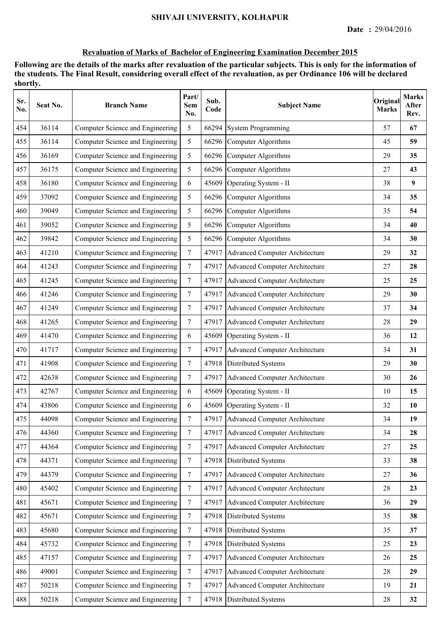| Sr.<br>No. | Seat No. | <b>Branch Name</b>               | Part/<br>Sem<br>No. | Sub.<br>Code | <b>Subject Name</b>                   | Original<br><b>Marks</b> | <b>Marks</b><br>After<br>Rev. |
|------------|----------|----------------------------------|---------------------|--------------|---------------------------------------|--------------------------|-------------------------------|
| 454        | 36114    | Computer Science and Engineering | 5                   | 66294        | <b>System Programming</b>             | 57                       | 67                            |
| 455        | 36114    | Computer Science and Engineering | 5                   |              | 66296 Computer Algorithms             | 45                       | 59                            |
| 456        | 36169    | Computer Science and Engineering | 5                   |              | 66296 Computer Algorithms             | 29                       | 35                            |
| 457        | 36175    | Computer Science and Engineering | 5                   |              | 66296 Computer Algorithms             | 27                       | 43                            |
| 458        | 36180    | Computer Science and Engineering | 6                   | 45609        | Operating System - II                 | 38                       | 9                             |
| 459        | 37092    | Computer Science and Engineering | 5                   |              | 66296 Computer Algorithms             | 34                       | 35                            |
| 460        | 39049    | Computer Science and Engineering | 5                   |              | 66296 Computer Algorithms             | 35                       | 54                            |
| 461        | 39052    | Computer Science and Engineering | 5                   |              | 66296 Computer Algorithms             | 34                       | 40                            |
| 462        | 39842    | Computer Science and Engineering | 5                   |              | 66296 Computer Algorithms             | 34                       | 30                            |
| 463        | 41210    | Computer Science and Engineering | $\tau$              | 47917        | <b>Advanced Computer Architecture</b> | 29                       | 32                            |
| 464        | 41243    | Computer Science and Engineering | $\tau$              |              | 47917 Advanced Computer Architecture  | 27                       | 28                            |
| 465        | 41245    | Computer Science and Engineering | $7\phantom{.0}$     | 47917        | <b>Advanced Computer Architecture</b> | 25                       | 25                            |
| 466        | 41246    | Computer Science and Engineering | $\overline{7}$      |              | 47917 Advanced Computer Architecture  | 29                       | 30                            |
| 467        | 41249    | Computer Science and Engineering | $\overline{7}$      |              | 47917 Advanced Computer Architecture  | 37                       | 34                            |
| 468        | 41265    | Computer Science and Engineering | $\tau$              | 47917        | Advanced Computer Architecture        | 28                       | 29                            |
| 469        | 41470    | Computer Science and Engineering | 6                   | 45609        | Operating System - II                 | 36                       | 12                            |
| 470        | 41717    | Computer Science and Engineering | $\tau$              | 47917        | <b>Advanced Computer Architecture</b> | 34                       | 31                            |
| 471        | 41908    | Computer Science and Engineering | $\tau$              |              | 47918 Distributed Systems             | 29                       | 30                            |
| 472        | 42638    | Computer Science and Engineering | $\tau$              | 47917        | Advanced Computer Architecture        | 30                       | 26                            |
| 473        | 42767    | Computer Science and Engineering | 6                   | 45609        | Operating System - II                 | 10                       | 15                            |
| 474        | 43806    | Computer Science and Engineering | 6                   | 45609        | Operating System - II                 | 32                       | 10                            |
| 475        | 44098    | Computer Science and Engineering | $\tau$              |              | 47917 Advanced Computer Architecture  | 34                       | 19                            |
| 476        | 44360    | Computer Science and Engineering | $7\phantom{.0}$     | 47917        | Advanced Computer Architecture        | 34                       | 28                            |
| 477        | 44364    | Computer Science and Engineering | $7\phantom{.0}$     | 47917        | Advanced Computer Architecture        | 27                       | 25                            |
| 478        | 44371    | Computer Science and Engineering | $\tau$              | 47918        | Distributed Systems                   | 33                       | 38                            |
| 479        | 44379    | Computer Science and Engineering | $\tau$              | 47917        | Advanced Computer Architecture        | 27                       | 36                            |
| 480        | 45402    | Computer Science and Engineering | $\tau$              | 47917        | Advanced Computer Architecture        | 28                       | 23                            |
| 481        | 45671    | Computer Science and Engineering | $\tau$              | 47917        | Advanced Computer Architecture        | 36                       | 29                            |
| 482        | 45671    | Computer Science and Engineering | $\tau$              |              | 47918 Distributed Systems             | 35                       | 38                            |
| 483        | 45680    | Computer Science and Engineering | $\boldsymbol{7}$    |              | 47918 Distributed Systems             | 35                       | 37                            |
| 484        | 45732    | Computer Science and Engineering | $\boldsymbol{7}$    | 47918        | Distributed Systems                   | 25                       | 23                            |
| 485        | 47157    | Computer Science and Engineering | $\boldsymbol{7}$    | 47917        | <b>Advanced Computer Architecture</b> | 26                       | 25                            |
| 486        | 49001    | Computer Science and Engineering | $\tau$              | 47917        | <b>Advanced Computer Architecture</b> | 28                       | 29                            |
| 487        | 50218    | Computer Science and Engineering | 7                   | 47917        | Advanced Computer Architecture        | 19                       | 21                            |
| 488        | 50218    | Computer Science and Engineering | $\tau$              | 47918        | Distributed Systems                   | $28\,$                   | 32                            |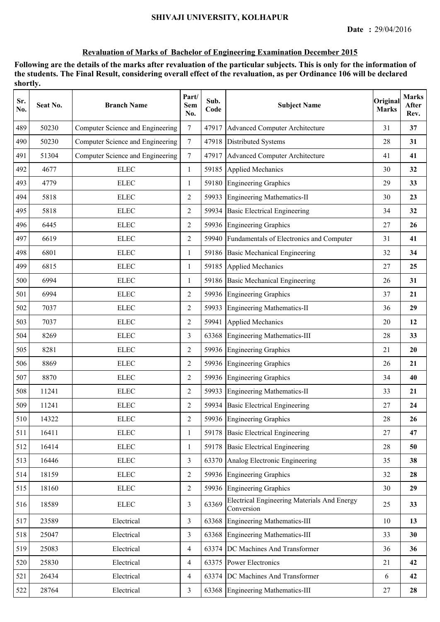| Sr.<br>No. | Seat No. | <b>Branch Name</b>               | Part/<br>Sem<br>No. | Sub.<br>Code | <b>Subject Name</b>                                              | Original<br><b>Marks</b> | <b>Marks</b><br>After<br>Rev. |
|------------|----------|----------------------------------|---------------------|--------------|------------------------------------------------------------------|--------------------------|-------------------------------|
| 489        | 50230    | Computer Science and Engineering | $\overline{7}$      |              | 47917 Advanced Computer Architecture                             | 31                       | 37                            |
| 490        | 50230    | Computer Science and Engineering | $7\overline{ }$     |              | 47918 Distributed Systems                                        | 28                       | 31                            |
| 491        | 51304    | Computer Science and Engineering | $\tau$              |              | 47917 Advanced Computer Architecture                             | 41                       | 41                            |
| 492        | 4677     | <b>ELEC</b>                      | $\mathbf{1}$        |              | 59185 Applied Mechanics                                          | 30                       | 32                            |
| 493        | 4779     | <b>ELEC</b>                      | $\mathbf{1}$        |              | 59180 Engineering Graphics                                       | 29                       | 33                            |
| 494        | 5818     | <b>ELEC</b>                      | 2                   |              | 59933 Engineering Mathematics-II                                 | 30                       | 23                            |
| 495        | 5818     | <b>ELEC</b>                      | $\overline{2}$      | 59934        | <b>Basic Electrical Engineering</b>                              | 34                       | 32                            |
| 496        | 6445     | <b>ELEC</b>                      | 2                   |              | 59936 Engineering Graphics                                       | 27                       | 26                            |
| 497        | 6619     | <b>ELEC</b>                      | 2                   |              | 59940 Fundamentals of Electronics and Computer                   | 31                       | 41                            |
| 498        | 6801     | <b>ELEC</b>                      | 1                   | 59186        | <b>Basic Mechanical Engineering</b>                              | 32                       | 34                            |
| 499        | 6815     | <b>ELEC</b>                      | 1                   |              | 59185 Applied Mechanics                                          | 27                       | 25                            |
| 500        | 6994     | <b>ELEC</b>                      | $\mathbf{1}$        |              | 59186 Basic Mechanical Engineering                               | 26                       | 31                            |
| 501        | 6994     | <b>ELEC</b>                      | $\overline{2}$      |              | 59936 Engineering Graphics                                       | 37                       | 21                            |
| 502        | 7037     | <b>ELEC</b>                      | 2                   |              | 59933 Engineering Mathematics-II                                 | 36                       | 29                            |
| 503        | 7037     | <b>ELEC</b>                      | $\overline{2}$      | 59941        | <b>Applied Mechanics</b>                                         | 20                       | 12                            |
| 504        | 8269     | <b>ELEC</b>                      | 3                   | 63368        | Engineering Mathematics-III                                      | 28                       | 33                            |
| 505        | 8281     | <b>ELEC</b>                      | 2                   | 59936        | <b>Engineering Graphics</b>                                      | 21                       | 20                            |
| 506        | 8869     | <b>ELEC</b>                      | 2                   |              | 59936 Engineering Graphics                                       | 26                       | 21                            |
| 507        | 8870     | <b>ELEC</b>                      | $\overline{2}$      |              | 59936 Engineering Graphics                                       | 34                       | 40                            |
| 508        | 11241    | <b>ELEC</b>                      | $\overline{2}$      |              | 59933 Engineering Mathematics-II                                 | 33                       | 21                            |
| 509        | 11241    | <b>ELEC</b>                      | $\overline{2}$      |              | 59934 Basic Electrical Engineering                               | 27                       | 24                            |
| 510        | 14322    | <b>ELEC</b>                      | $\overline{2}$      |              | 59936 Engineering Graphics                                       | 28                       | 26                            |
| 511        | 16411    | <b>ELEC</b>                      | $\mathbf{1}$        |              | 59178 Basic Electrical Engineering                               | 27                       | 47                            |
| 512        | 16414    | ${\rm E LEC}$                    | 1                   |              | 59178 Basic Electrical Engineering                               | 28                       | 50                            |
| 513        | 16446    | <b>ELEC</b>                      | 3                   |              | 63370 Analog Electronic Engineering                              | 35                       | 38                            |
| 514        | 18159    | ${\rm ELLC}$                     | $\overline{2}$      |              | 59936 Engineering Graphics                                       | 32                       | 28                            |
| 515        | 18160    | ${\rm ELLC}$                     | $\overline{2}$      |              | 59936 Engineering Graphics                                       | 30                       | 29                            |
| 516        | 18589    | ${\rm ELLC}$                     | $\overline{3}$      | 63369        | <b>Electrical Engineering Materials And Energy</b><br>Conversion | 25                       | 33                            |
| 517        | 23589    | Electrical                       | 3                   |              | 63368 Engineering Mathematics-III                                | 10                       | 13                            |
| 518        | 25047    | Electrical                       | $\overline{3}$      | 63368        | Engineering Mathematics-III                                      | 33                       | 30                            |
| 519        | 25083    | Electrical                       | $\overline{4}$      | 63374        | DC Machines And Transformer                                      | 36                       | 36                            |
| 520        | 25830    | Electrical                       | $\overline{4}$      |              | 63375 Power Electronics                                          | 21                       | 42                            |
| 521        | 26434    | Electrical                       | $\overline{4}$      | 63374        | DC Machines And Transformer                                      | 6                        | 42                            |
| 522        | 28764    | Electrical                       | $\overline{3}$      |              | 63368 Engineering Mathematics-III                                | 27                       | 28                            |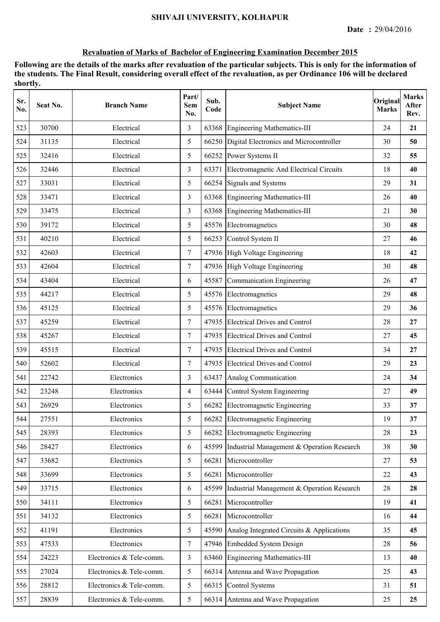| Sr.<br>No. | Seat No. | <b>Branch Name</b>       | Part/<br>Sem<br>No. | Sub.<br>Code | <b>Subject Name</b>                        | Original<br><b>Marks</b> | <b>Marks</b><br>After<br>Rev. |
|------------|----------|--------------------------|---------------------|--------------|--------------------------------------------|--------------------------|-------------------------------|
| 523        | 30700    | Electrical               | 3                   | 63368        | <b>Engineering Mathematics-III</b>         | 24                       | 21                            |
| 524        | 31135    | Electrical               | 5                   | 66250        | Digital Electronics and Microcontroller    | 30                       | 50                            |
| 525        | 32416    | Electrical               | 5                   |              | 66252 Power Systems II                     | 32                       | 55                            |
| 526        | 32446    | Electrical               | 3                   | 63371        | Electromagnetic And Electrical Circuits    | 18                       | 40                            |
| 527        | 33031    | Electrical               | 5                   | 66254        | Signals and Systems                        | 29                       | 31                            |
| 528        | 33471    | Electrical               | 3                   | 63368        | <b>Engineering Mathematics-III</b>         | 26                       | 40                            |
| 529        | 33475    | Electrical               | 3                   | 63368        | <b>Engineering Mathematics-III</b>         | 21                       | 30                            |
| 530        | 39172    | Electrical               | 5                   |              | 45576 Electromagnetics                     | 30                       | 48                            |
| 531        | 40210    | Electrical               | 5                   | 66253        | Control System II                          | 27                       | 46                            |
| 532        | 42603    | Electrical               | $\tau$              |              | 47936 High Voltage Engineering             | 18                       | 42                            |
| 533        | 42604    | Electrical               | $\tau$              |              | 47936 High Voltage Engineering             | 30                       | 48                            |
| 534        | 43404    | Electrical               | 6                   | 45587        | Communication Engineering                  | 26                       | 47                            |
| 535        | 44217    | Electrical               | 5                   |              | 45576 Electromagnetics                     | 29                       | 48                            |
| 536        | 45125    | Electrical               | 5                   | 45576        | Electromagnetics                           | 29                       | 36                            |
| 537        | 45259    | Electrical               | $\tau$              | 47935        | <b>Electrical Drives and Control</b>       | 28                       | 27                            |
| 538        | 45267    | Electrical               | $\tau$              | 47935        | <b>Electrical Drives and Control</b>       | 27                       | 45                            |
| 539        | 45515    | Electrical               | 7                   | 47935        | <b>Electrical Drives and Control</b>       | 34                       | 27                            |
| 540        | 52602    | Electrical               | $\tau$              |              | 47935 Electrical Drives and Control        | 29                       | 23                            |
| 541        | 22742    | Electronics              | 3                   | 63437        | Analog Communication                       | 24                       | 34                            |
| 542        | 23248    | Electronics              | $\overline{4}$      | 63444        | Control System Engineering                 | 27                       | 49                            |
| 543        | 26929    | Electronics              | 5                   |              | 66282 Electromagnetic Engineering          | 33                       | 37                            |
| 544        | 27551    | Electronics              | 5                   |              | 66282 Electromagnetic Engineering          | 19                       | 37                            |
| 545        | 28393    | Electronics              | 5                   | 66282        | <b>Electromagnetic Engineering</b>         | 28                       | 23                            |
| 546        | 28427    | Electronics              | 6                   | 45599        | Industrial Management & Operation Research | 38                       | 30                            |
| 547        | 33682    | Electronics              | 5                   | 66281        | Microcontroller                            | 27                       | 53                            |
| 548        | 33699    | Electronics              | 5                   | 66281        | Microcontroller                            | 22                       | 43                            |
| 549        | 33715    | Electronics              | 6                   | 45599        | Industrial Management & Operation Research | 28                       | 28                            |
| 550        | 34111    | Electronics              | 5                   | 66281        | Microcontroller                            | 19                       | 41                            |
| 551        | 34132    | Electronics              | 5                   | 66281        | Microcontroller                            | 16                       | 44                            |
| 552        | 41191    | Electronics              | 5                   | 45590        | Analog Integrated Circuits & Applications  | 35                       | 45                            |
| 553        | 47533    | Electronics              | $\tau$              |              | 47946 Embedded System Design               | 28                       | 56                            |
| 554        | 24223    | Electronics & Tele-comm. | 3                   | 63460        | <b>Engineering Mathematics-III</b>         | 13                       | 40                            |
| 555        | 27024    | Electronics & Tele-comm. | 5                   | 66314        | Antenna and Wave Propagation               | 25                       | 43                            |
| 556        | 28812    | Electronics & Tele-comm. | 5                   | 66315        | <b>Control Systems</b>                     | 31                       | 51                            |
| 557        | 28839    | Electronics & Tele-comm. | 5                   | 66314        | Antenna and Wave Propagation               | 25                       | 25                            |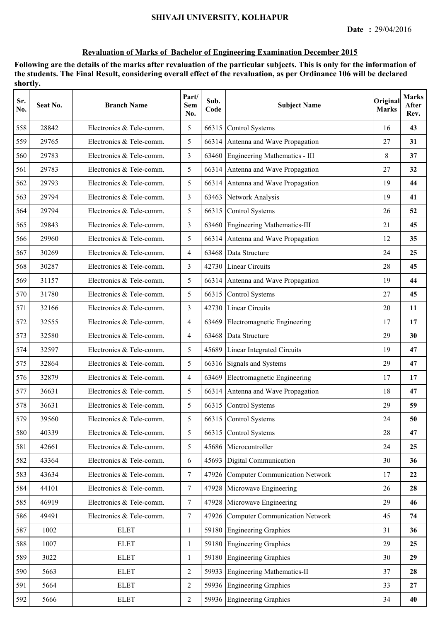| Sr.<br>No. | Seat No. | <b>Branch Name</b>       | Part/<br>Sem<br>No. | Sub.<br>Code | <b>Subject Name</b>                  | Original<br><b>Marks</b> | <b>Marks</b><br>After<br>Rev. |
|------------|----------|--------------------------|---------------------|--------------|--------------------------------------|--------------------------|-------------------------------|
| 558        | 28842    | Electronics & Tele-comm. | 5                   | 66315        | Control Systems                      | 16                       | 43                            |
| 559        | 29765    | Electronics & Tele-comm. | 5                   |              | 66314 Antenna and Wave Propagation   | 27                       | 31                            |
| 560        | 29783    | Electronics & Tele-comm. | 3                   |              | 63460 Engineering Mathematics - III  | 8                        | 37                            |
| 561        | 29783    | Electronics & Tele-comm. | 5                   |              | 66314 Antenna and Wave Propagation   | 27                       | 32                            |
| 562        | 29793    | Electronics & Tele-comm. | 5                   |              | 66314 Antenna and Wave Propagation   | 19                       | 44                            |
| 563        | 29794    | Electronics & Tele-comm. | 3                   |              | 63463 Network Analysis               | 19                       | 41                            |
| 564        | 29794    | Electronics & Tele-comm. | 5                   | 66315        | <b>Control Systems</b>               | 26                       | 52                            |
| 565        | 29843    | Electronics & Tele-comm. | 3                   | 63460        | Engineering Mathematics-III          | 21                       | 45                            |
| 566        | 29960    | Electronics & Tele-comm. | 5                   |              | 66314 Antenna and Wave Propagation   | 12                       | 35                            |
| 567        | 30269    | Electronics & Tele-comm. | $\overline{4}$      | 63468        | Data Structure                       | 24                       | 25                            |
| 568        | 30287    | Electronics & Tele-comm. | 3                   |              | 42730 Linear Circuits                | 28                       | 45                            |
| 569        | 31157    | Electronics & Tele-comm. | 5                   |              | 66314 Antenna and Wave Propagation   | 19                       | 44                            |
| 570        | 31780    | Electronics & Tele-comm. | 5                   |              | 66315 Control Systems                | 27                       | 45                            |
| 571        | 32166    | Electronics & Tele-comm. | 3                   |              | 42730 Linear Circuits                | 20                       | 11                            |
| 572        | 32555    | Electronics & Tele-comm. | $\overline{4}$      | 63469        | Electromagnetic Engineering          | 17                       | 17                            |
| 573        | 32580    | Electronics & Tele-comm. | 4                   |              | 63468 Data Structure                 | 29                       | 30                            |
| 574        | 32597    | Electronics & Tele-comm. | 5                   | 45689        | Linear Integrated Circuits           | 19                       | 47                            |
| 575        | 32864    | Electronics & Tele-comm. | 5                   |              | 66316 Signals and Systems            | 29                       | 47                            |
| 576        | 32879    | Electronics & Tele-comm. | $\overline{4}$      | 63469        | Electromagnetic Engineering          | 17                       | 17                            |
| 577        | 36631    | Electronics & Tele-comm. | 5                   |              | 66314 Antenna and Wave Propagation   | 18                       | 47                            |
| 578        | 36631    | Electronics & Tele-comm. | 5                   |              | 66315 Control Systems                | 29                       | 59                            |
| 579        | 39560    | Electronics & Tele-comm. | 5                   |              | 66315 Control Systems                | 24                       | 50                            |
| 580        | 40339    | Electronics & Tele-comm. | 5                   |              | 66315 Control Systems                | 28                       | 47                            |
| 581        | 42661    | Electronics & Tele-comm. | 5                   |              | 45686 Microcontroller                | 24                       | 25                            |
| 582        | 43364    | Electronics & Tele-comm. | 6                   | 45693        | Digital Communication                | 30                       | 36                            |
| 583        | 43634    | Electronics & Tele-comm. | $\overline{7}$      |              | 47926 Computer Communication Network | 17                       | 22                            |
| 584        | 44101    | Electronics & Tele-comm. | $\overline{7}$      |              | 47928 Microwave Engineering          | 26                       | 28                            |
| 585        | 46919    | Electronics & Tele-comm. | $\overline{7}$      |              | 47928 Microwave Engineering          | 29                       | 46                            |
| 586        | 49491    | Electronics & Tele-comm. | $\overline{7}$      |              | 47926 Computer Communication Network | 45                       | 74                            |
| 587        | 1002     | <b>ELET</b>              | 1                   |              | 59180 Engineering Graphics           | 31                       | 36                            |
| 588        | 1007     | <b>ELET</b>              | $\mathbf{1}$        |              | 59180 Engineering Graphics           | 29                       | 25                            |
| 589        | 3022     | <b>ELET</b>              | 1                   | 59180        | <b>Engineering Graphics</b>          | 30                       | 29                            |
| 590        | 5663     | <b>ELET</b>              | $\overline{2}$      | 59933        | Engineering Mathematics-II           | 37                       | 28                            |
| 591        | 5664     | <b>ELET</b>              | 2                   |              | 59936 Engineering Graphics           | 33                       | 27                            |
| 592        | 5666     | <b>ELET</b>              | $\overline{2}$      |              | 59936 Engineering Graphics           | 34                       | 40                            |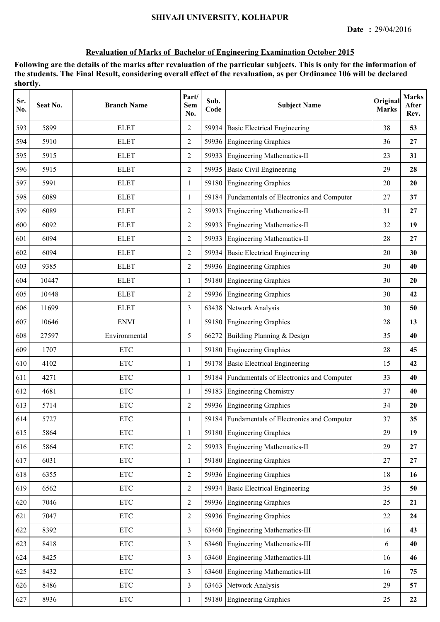| Sr.<br>No. | Seat No. | <b>Branch Name</b>        | Part/<br><b>Sem</b><br>No. | Sub.<br>Code | <b>Subject Name</b>                            | Original<br><b>Marks</b> | <b>Marks</b><br>After<br>Rev. |
|------------|----------|---------------------------|----------------------------|--------------|------------------------------------------------|--------------------------|-------------------------------|
| 593        | 5899     | <b>ELET</b>               | 2                          | 59934        | <b>Basic Electrical Engineering</b>            | 38                       | 53                            |
| 594        | 5910     | <b>ELET</b>               | $\overline{2}$             |              | 59936 Engineering Graphics                     | 36                       | 27                            |
| 595        | 5915     | <b>ELET</b>               | $\overline{2}$             | 59933        | Engineering Mathematics-II                     | 23                       | 31                            |
| 596        | 5915     | <b>ELET</b>               | $\overline{2}$             |              | 59935 Basic Civil Engineering                  | 29                       | 28                            |
| 597        | 5991     | <b>ELET</b>               | 1                          |              | 59180 Engineering Graphics                     | 20                       | 20                            |
| 598        | 6089     | <b>ELET</b>               | $\mathbf{1}$               | 59184        | Fundamentals of Electronics and Computer       | 27                       | 37                            |
| 599        | 6089     | <b>ELET</b>               | 2                          | 59933        | Engineering Mathematics-II                     | 31                       | 27                            |
| 600        | 6092     | <b>ELET</b>               | $\overline{2}$             | 59933        | Engineering Mathematics-II                     | 32                       | 19                            |
| 601        | 6094     | <b>ELET</b>               | $\overline{2}$             | 59933        | Engineering Mathematics-II                     | 28                       | 27                            |
| 602        | 6094     | <b>ELET</b>               | $\overline{2}$             | 59934        | <b>Basic Electrical Engineering</b>            | 20                       | 30                            |
| 603        | 9385     | <b>ELET</b>               | $\overline{2}$             |              | 59936 Engineering Graphics                     | 30                       | 40                            |
| 604        | 10447    | <b>ELET</b>               | 1                          |              | 59180 Engineering Graphics                     | 30                       | 20                            |
| 605        | 10448    | <b>ELET</b>               | $\overline{2}$             |              | 59936 Engineering Graphics                     | 30                       | 42                            |
| 606        | 11699    | <b>ELET</b>               | 3                          |              | 63438 Network Analysis                         | 30                       | 50                            |
| 607        | 10646    | <b>ENVI</b>               | 1                          | 59180        | <b>Engineering Graphics</b>                    | 28                       | 13                            |
| 608        | 27597    | Environmental             | 5                          | 66272        | Building Planning & Design                     | 35                       | 40                            |
| 609        | 1707     | <b>ETC</b>                | 1                          | 59180        | <b>Engineering Graphics</b>                    | 28                       | 45                            |
| 610        | 4102     | <b>ETC</b>                | $\mathbf{1}$               |              | 59178 Basic Electrical Engineering             | 15                       | 42                            |
| 611        | 4271     | <b>ETC</b>                | $\mathbf{1}$               |              | 59184 Fundamentals of Electronics and Computer | 33                       | 40                            |
| 612        | 4681     | <b>ETC</b>                | $\mathbf{1}$               |              | 59183 Engineering Chemistry                    | 37                       | 40                            |
| 613        | 5714     | <b>ETC</b>                | 2                          |              | 59936 Engineering Graphics                     | 34                       | 20                            |
| 614        | 5727     | <b>ETC</b>                |                            |              | 59184 Fundamentals of Electronics and Computer | 37                       | 35                            |
| 615        | 5864     | $\ensuremath{\text{ETC}}$ | 1                          | 59180        | <b>Engineering Graphics</b>                    | 29                       | 19                            |
| 616        | 5864     | <b>ETC</b>                | $\overline{2}$             | 59933        | Engineering Mathematics-II                     | 29                       | 27                            |
| 617        | 6031     | <b>ETC</b>                | $\mathbf{1}$               |              | 59180 Engineering Graphics                     | 27                       | 27                            |
| 618        | 6355     | $\ensuremath{\text{ETC}}$ | $\overline{2}$             |              | 59936 Engineering Graphics                     | 18                       | 16                            |
| 619        | 6562     | $\ensuremath{\text{ETC}}$ | $\overline{2}$             |              | 59934 Basic Electrical Engineering             | 35                       | 50                            |
| 620        | 7046     | $\ensuremath{\text{ETC}}$ | $\overline{2}$             |              | 59936 Engineering Graphics                     | 25                       | 21                            |
| 621        | 7047     | $\ensuremath{\text{ETC}}$ | $\overline{2}$             |              | 59936 Engineering Graphics                     | 22                       | 24                            |
| 622        | 8392     | <b>ETC</b>                | $\overline{3}$             |              | 63460 Engineering Mathematics-III              | 16                       | 43                            |
| 623        | 8418     | $\ensuremath{\text{ETC}}$ | $\overline{3}$             |              | 63460 Engineering Mathematics-III              | 6                        | 40                            |
| 624        | 8425     | $\ensuremath{\text{ETC}}$ | $\overline{3}$             | 63460        | Engineering Mathematics-III                    | 16                       | 46                            |
| 625        | 8432     | $\ensuremath{\text{ETC}}$ | $\overline{3}$             | 63460        | Engineering Mathematics-III                    | 16                       | 75                            |
| 626        | 8486     | $\ensuremath{\text{ETC}}$ | $\overline{3}$             |              | 63463 Network Analysis                         | 29                       | 57                            |
| 627        | 8936     | $\ensuremath{\text{ETC}}$ | $\mathbf{1}$               |              | 59180 Engineering Graphics                     | 25                       | 22                            |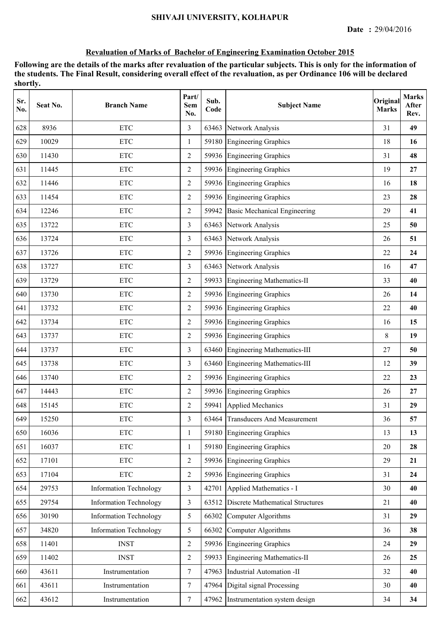| Sr.<br>No. | Seat No. | <b>Branch Name</b>            | Part/<br><b>Sem</b><br>No. | Sub.<br>Code | <b>Subject Name</b>                 | Original<br><b>Marks</b> | <b>Marks</b><br>After<br>Rev. |
|------------|----------|-------------------------------|----------------------------|--------------|-------------------------------------|--------------------------|-------------------------------|
| 628        | 8936     | <b>ETC</b>                    | 3                          | 63463        | Network Analysis                    | 31                       | 49                            |
| 629        | 10029    | <b>ETC</b>                    | $\mathbf{1}$               |              | 59180 Engineering Graphics          | 18                       | 16                            |
| 630        | 11430    | <b>ETC</b>                    | $\overline{2}$             |              | 59936 Engineering Graphics          | 31                       | 48                            |
| 631        | 11445    | <b>ETC</b>                    | $\overline{2}$             |              | 59936 Engineering Graphics          | 19                       | 27                            |
| 632        | 11446    | <b>ETC</b>                    | 2                          |              | 59936 Engineering Graphics          | 16                       | 18                            |
| 633        | 11454    | $\ensuremath{\text{ETC}}$     | $\overline{2}$             | 59936        | <b>Engineering Graphics</b>         | 23                       | 28                            |
| 634        | 12246    | <b>ETC</b>                    | 2                          | 59942        | <b>Basic Mechanical Engineering</b> | 29                       | 41                            |
| 635        | 13722    | <b>ETC</b>                    | 3                          | 63463        | Network Analysis                    | 25                       | 50                            |
| 636        | 13724    | <b>ETC</b>                    | $\overline{3}$             | 63463        | Network Analysis                    | 26                       | 51                            |
| 637        | 13726    | <b>ETC</b>                    | $\overline{2}$             |              | 59936 Engineering Graphics          | 22                       | 24                            |
| 638        | 13727    | <b>ETC</b>                    | $\overline{3}$             | 63463        | Network Analysis                    | 16                       | 47                            |
| 639        | 13729    | <b>ETC</b>                    | $\overline{2}$             |              | 59933 Engineering Mathematics-II    | 33                       | 40                            |
| 640        | 13730    | $\ensuremath{\text{ETC}}$     | $\overline{2}$             |              | 59936 Engineering Graphics          | 26                       | 14                            |
| 641        | 13732    | <b>ETC</b>                    | $\overline{2}$             |              | 59936 Engineering Graphics          | 22                       | 40                            |
| 642        | 13734    | <b>ETC</b>                    | 2                          | 59936        | <b>Engineering Graphics</b>         | 16                       | 15                            |
| 643        | 13737    | <b>ETC</b>                    | $\overline{2}$             |              | 59936 Engineering Graphics          | 8                        | 19                            |
| 644        | 13737    | <b>ETC</b>                    | 3                          | 63460        | Engineering Mathematics-III         | 27                       | 50                            |
| 645        | 13738    | <b>ETC</b>                    | $\overline{3}$             | 63460        | Engineering Mathematics-III         | 12                       | 39                            |
| 646        | 13740    | <b>ETC</b>                    | $\overline{2}$             |              | 59936 Engineering Graphics          | 22                       | 23                            |
| 647        | 14443    | <b>ETC</b>                    | $\overline{2}$             |              | 59936 Engineering Graphics          | 26                       | 27                            |
| 648        | 15145    | <b>ETC</b>                    | 2                          |              | 59941 Applied Mechanics             | 31                       | 29                            |
| 649        | 15250    | <b>ETC</b>                    | 3                          |              | 63464 Transducers And Measurement   | 36                       | 57                            |
| 650        | 16036    | <b>ETC</b>                    | $\mathbf{1}$               | 59180        | <b>Engineering Graphics</b>         | 13                       | 13                            |
| 651        | 16037    | <b>ETC</b>                    | 1                          | 59180        | Engineering Graphics                | 20                       | 28                            |
| 652        | 17101    | $\ensuremath{\text{ETC}}$     | $\overline{2}$             |              | 59936 Engineering Graphics          | 29                       | 21                            |
| 653        | 17104    | $\ensuremath{\text{ETC}}$     | $\overline{2}$             |              | 59936 Engineering Graphics          | 31                       | 24                            |
| 654        | 29753    | <b>Information Technology</b> | $\overline{3}$             | 42701        | Applied Mathematics - I             | 30                       | 40                            |
| 655        | 29754    | <b>Information Technology</b> | $\overline{3}$             | 63512        | Discrete Mathematical Structures    | 21                       | 40                            |
| 656        | 30190    | <b>Information Technology</b> | 5                          | 66302        | Computer Algorithms                 | 31                       | 29                            |
| 657        | 34820    | <b>Information Technology</b> | 5                          | 66302        | Computer Algorithms                 | 36                       | 38                            |
| 658        | 11401    | <b>INST</b>                   | $\overline{2}$             | 59936        | <b>Engineering Graphics</b>         | 24                       | 29                            |
| 659        | 11402    | <b>INST</b>                   | $\overline{2}$             | 59933        | <b>Engineering Mathematics-II</b>   | 26                       | 25                            |
| 660        | 43611    | Instrumentation               | $\overline{7}$             | 47963        | Industrial Automation -II           | 32                       | 40                            |
| 661        | 43611    | Instrumentation               | $\tau$                     | 47964        | Digital signal Processing           | 30                       | 40                            |
| 662        | 43612    | Instrumentation               | $\tau$                     |              | 47962 Instrumentation system design | 34                       | 34                            |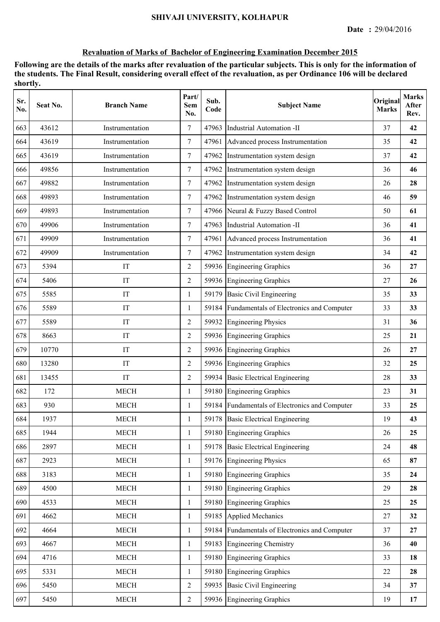| Sr.<br>No. | Seat No. | <b>Branch Name</b>    | Part/<br>Sem<br>No. | Sub.<br>Code | <b>Subject Name</b>                            | Original<br><b>Marks</b> | <b>Marks</b><br>After<br>Rev. |
|------------|----------|-----------------------|---------------------|--------------|------------------------------------------------|--------------------------|-------------------------------|
| 663        | 43612    | Instrumentation       | $\tau$              | 47963        | Industrial Automation -II                      | 37                       | 42                            |
| 664        | 43619    | Instrumentation       | $\overline{7}$      | 47961        | Advanced process Instrumentation               | 35                       | 42                            |
| 665        | 43619    | Instrumentation       | $\overline{7}$      | 47962        | Instrumentation system design                  | 37                       | 42                            |
| 666        | 49856    | Instrumentation       | $\overline{7}$      | 47962        | Instrumentation system design                  | 36                       | 46                            |
| 667        | 49882    | Instrumentation       | $\overline{7}$      |              | 47962 Instrumentation system design            | 26                       | 28                            |
| 668        | 49893    | Instrumentation       | $\tau$              |              | 47962 Instrumentation system design            | 46                       | 59                            |
| 669        | 49893    | Instrumentation       | $\tau$              |              | 47966 Neural & Fuzzy Based Control             | 50                       | 61                            |
| 670        | 49906    | Instrumentation       | $\tau$              | 47963        | Industrial Automation -II                      | 36                       | 41                            |
| 671        | 49909    | Instrumentation       | 7                   |              | 47961 Advanced process Instrumentation         | 36                       | 41                            |
| 672        | 49909    | Instrumentation       | $\tau$              | 47962        | Instrumentation system design                  | 34                       | 42                            |
| 673        | 5394     | IT                    | $\overline{2}$      |              | 59936 Engineering Graphics                     | 36                       | 27                            |
| 674        | 5406     | IT                    | $\overline{2}$      |              | 59936 Engineering Graphics                     | 27                       | 26                            |
| 675        | 5585     | IT                    | $\mathbf{1}$        |              | 59179 Basic Civil Engineering                  | 35                       | 33                            |
| 676        | 5589     | IT                    | 1                   |              | 59184 Fundamentals of Electronics and Computer | 33                       | 33                            |
| 677        | 5589     | IT                    | $\overline{2}$      | 59932        | <b>Engineering Physics</b>                     | 31                       | 36                            |
| 678        | 8663     | IT                    | $\overline{2}$      |              | 59936 Engineering Graphics                     | 25                       | 21                            |
| 679        | 10770    | IT                    | 2                   | 59936        | <b>Engineering Graphics</b>                    | 26                       | 27                            |
| 680        | 13280    | IT                    | 2                   |              | 59936 Engineering Graphics                     | 32                       | 25                            |
| 681        | 13455    | IT                    | $\overline{2}$      |              | 59934 Basic Electrical Engineering             | 28                       | 33                            |
| 682        | 172      | <b>MECH</b>           | $\mathbf{1}$        |              | 59180 Engineering Graphics                     | 23                       | 31                            |
| 683        | 930      | <b>MECH</b>           | $\mathbf{1}$        |              | 59184 Fundamentals of Electronics and Computer | 33                       | 25                            |
| 684        | 1937     | <b>MECH</b>           | 1                   |              | 59178 Basic Electrical Engineering             | 19                       | 43                            |
| 685        | 1944     | <b>MECH</b>           | $\mathbf{1}$        |              | 59180 Engineering Graphics                     | 26                       | 25                            |
| 686        | 2897     | <b>MECH</b>           | $\mathbf{1}$        | 59178        | <b>Basic Electrical Engineering</b>            | 24                       | 48                            |
| 687        | 2923     | <b>MECH</b>           | 1                   |              | 59176 Engineering Physics                      | 65                       | 87                            |
| 688        | 3183     | <b>MECH</b>           | $\mathbf{1}$        | 59180        | Engineering Graphics                           | 35                       | 24                            |
| 689        | 4500     | <b>MECH</b>           | $\mathbf{1}$        | 59180        | Engineering Graphics                           | 29                       | 28                            |
| 690        | 4533     | MECH                  | $\mathbf{1}$        |              | 59180 Engineering Graphics                     | 25                       | 25                            |
| 691        | 4662     | <b>MECH</b>           | $\mathbf{1}$        |              | 59185 Applied Mechanics                        | 27                       | 32                            |
| 692        | 4664     | <b>MECH</b>           | $\mathbf{1}$        |              | 59184 Fundamentals of Electronics and Computer | 37                       | 27                            |
| 693        | 4667     | <b>MECH</b>           | $\mathbf{1}$        |              | 59183 Engineering Chemistry                    | 36                       | 40                            |
| 694        | 4716     | <b>MECH</b>           | $\mathbf{1}$        | 59180        | <b>Engineering Graphics</b>                    | 33                       | 18                            |
| 695        | 5331     | <b>MECH</b>           | 1                   | 59180        | <b>Engineering Graphics</b>                    | 22                       | 28                            |
| 696        | 5450     | <b>MECH</b>           | 2                   | 59935        | <b>Basic Civil Engineering</b>                 | 34                       | 37                            |
| 697        | 5450     | $\operatorname{MECH}$ | $\overline{2}$      |              | 59936 Engineering Graphics                     | 19                       | 17                            |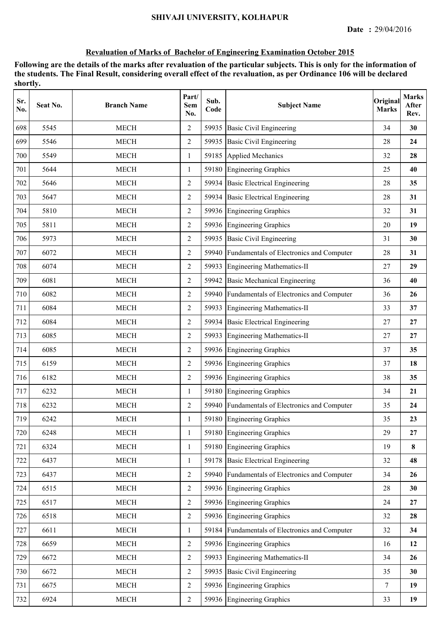| Sr.<br>No. | Seat No. | <b>Branch Name</b> | Part/<br>Sem<br>No. | Sub.<br>Code | <b>Subject Name</b>                            | Original<br><b>Marks</b> | <b>Marks</b><br>After<br>Rev. |
|------------|----------|--------------------|---------------------|--------------|------------------------------------------------|--------------------------|-------------------------------|
| 698        | 5545     | <b>MECH</b>        | $\overline{2}$      | 59935        | <b>Basic Civil Engineering</b>                 | 34                       | 30                            |
| 699        | 5546     | <b>MECH</b>        | $\overline{2}$      | 59935        | <b>Basic Civil Engineering</b>                 | 28                       | 24                            |
| 700        | 5549     | <b>MECH</b>        | 1                   | 59185        | Applied Mechanics                              | 32                       | 28                            |
| 701        | 5644     | <b>MECH</b>        | 1                   |              | 59180 Engineering Graphics                     | 25                       | 40                            |
| 702        | 5646     | <b>MECH</b>        | 2                   |              | 59934 Basic Electrical Engineering             | 28                       | 35                            |
| 703        | 5647     | <b>MECH</b>        | $\overline{c}$      |              | 59934 Basic Electrical Engineering             | 28                       | 31                            |
| 704        | 5810     | <b>MECH</b>        | $\overline{2}$      |              | 59936 Engineering Graphics                     | 32                       | 31                            |
| 705        | 5811     | <b>MECH</b>        | 2                   |              | 59936 Engineering Graphics                     | 20                       | 19                            |
| 706        | 5973     | <b>MECH</b>        | $\overline{2}$      | 59935        | <b>Basic Civil Engineering</b>                 | 31                       | 30                            |
| 707        | 6072     | <b>MECH</b>        | $\overline{2}$      |              | 59940 Fundamentals of Electronics and Computer | 28                       | 31                            |
| 708        | 6074     | <b>MECH</b>        | $\overline{2}$      |              | 59933 Engineering Mathematics-II               | 27                       | 29                            |
| 709        | 6081     | <b>MECH</b>        | $\overline{2}$      | 59942        | <b>Basic Mechanical Engineering</b>            | 36                       | 40                            |
| 710        | 6082     | <b>MECH</b>        | 2                   |              | 59940 Fundamentals of Electronics and Computer | 36                       | 26                            |
| 711        | 6084     | <b>MECH</b>        | $\overline{2}$      | 59933        | <b>Engineering Mathematics-II</b>              | 33                       | 37                            |
| 712        | 6084     | <b>MECH</b>        | $\overline{2}$      | 59934        | <b>Basic Electrical Engineering</b>            | 27                       | 27                            |
| 713        | 6085     | <b>MECH</b>        | 2                   | 59933        | <b>Engineering Mathematics-II</b>              | 27                       | 27                            |
| 714        | 6085     | <b>MECH</b>        | $\overline{2}$      |              | 59936 Engineering Graphics                     | 37                       | 35                            |
| 715        | 6159     | <b>MECH</b>        | 2                   |              | 59936 Engineering Graphics                     | 37                       | 18                            |
| 716        | 6182     | <b>MECH</b>        | $\overline{2}$      |              | 59936 Engineering Graphics                     | 38                       | 35                            |
| 717        | 6232     | <b>MECH</b>        | 1                   |              | 59180 Engineering Graphics                     | 34                       | 21                            |
| 718        | 6232     | <b>MECH</b>        | $\overline{2}$      |              | 59940 Fundamentals of Electronics and Computer | 35                       | 24                            |
| 719        | 6242     | <b>MECH</b>        |                     |              | 59180 Engineering Graphics                     | 35                       | 23                            |
| 720        | 6248     | <b>MECH</b>        | 1                   |              | 59180 Engineering Graphics                     | 29                       | 27                            |
| 721        | 6324     | <b>MECH</b>        | 1                   |              | 59180 Engineering Graphics                     | 19                       | 8                             |
| 722        | 6437     | <b>MECH</b>        | 1                   | 59178        | <b>Basic Electrical Engineering</b>            | 32                       | 48                            |
| 723        | 6437     | <b>MECH</b>        | $\overline{2}$      |              | 59940 Fundamentals of Electronics and Computer | 34                       | 26                            |
| 724        | 6515     | <b>MECH</b>        | $\overline{2}$      |              | 59936 Engineering Graphics                     | 28                       | 30                            |
| 725        | 6517     | <b>MECH</b>        | $\overline{2}$      |              | 59936 Engineering Graphics                     | 24                       | 27                            |
| 726        | 6518     | <b>MECH</b>        | $\overline{2}$      |              | 59936 Engineering Graphics                     | 32                       | 28                            |
| 727        | 6611     | <b>MECH</b>        | 1                   |              | 59184 Fundamentals of Electronics and Computer | 32                       | 34                            |
| 728        | 6659     | <b>MECH</b>        | $\overline{2}$      |              | 59936 Engineering Graphics                     | 16                       | 12                            |
| 729        | 6672     | <b>MECH</b>        | 2                   | 59933        | <b>Engineering Mathematics-II</b>              | 34                       | 26                            |
| 730        | 6672     | <b>MECH</b>        | $\overline{2}$      |              | 59935 Basic Civil Engineering                  | 35                       | 30                            |
| 731        | 6675     | <b>MECH</b>        | $\overline{2}$      |              | 59936 Engineering Graphics                     | 7                        | 19                            |
| 732        | 6924     | MECH               | $\overline{2}$      |              | 59936 Engineering Graphics                     | 33                       | 19                            |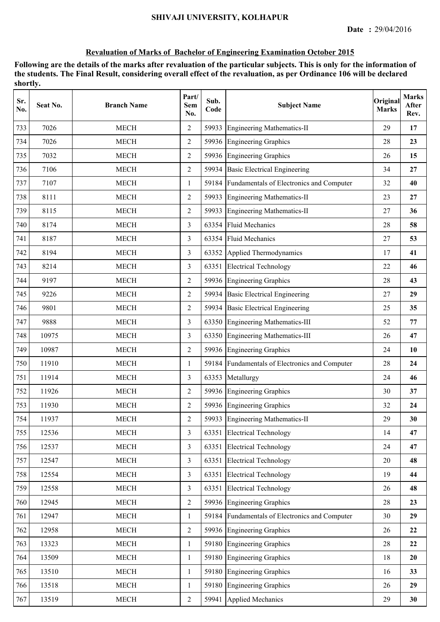| Sr.<br>No. | Seat No. | <b>Branch Name</b>    | Part/<br><b>Sem</b><br>No. | Sub.<br>Code | <b>Subject Name</b>                            | Original<br><b>Marks</b> | <b>Marks</b><br>After<br>Rev. |
|------------|----------|-----------------------|----------------------------|--------------|------------------------------------------------|--------------------------|-------------------------------|
| 733        | 7026     | <b>MECH</b>           | 2                          | 59933        | <b>Engineering Mathematics-II</b>              | 29                       | 17                            |
| 734        | 7026     | <b>MECH</b>           | $\overline{2}$             |              | 59936 Engineering Graphics                     | 28                       | 23                            |
| 735        | 7032     | <b>MECH</b>           | 2                          |              | 59936 Engineering Graphics                     | 26                       | 15                            |
| 736        | 7106     | <b>MECH</b>           | $\overline{2}$             |              | 59934 Basic Electrical Engineering             | 34                       | 27                            |
| 737        | 7107     | <b>MECH</b>           | 1                          |              | 59184 Fundamentals of Electronics and Computer | 32                       | 40                            |
| 738        | 8111     | <b>MECH</b>           | $\overline{2}$             | 59933        | <b>Engineering Mathematics-II</b>              | 23                       | 27                            |
| 739        | 8115     | <b>MECH</b>           | 2                          | 59933        | <b>Engineering Mathematics-II</b>              | 27                       | 36                            |
| 740        | 8174     | <b>MECH</b>           | 3                          | 63354        | <b>Fluid Mechanics</b>                         | 28                       | 58                            |
| 741        | 8187     | <b>MECH</b>           | 3                          | 63354        | <b>Fluid Mechanics</b>                         | 27                       | 53                            |
| 742        | 8194     | <b>MECH</b>           | 3                          | 63352        | Applied Thermodynamics                         | 17                       | 41                            |
| 743        | 8214     | <b>MECH</b>           | 3                          |              | 63351 Electrical Technology                    | 22                       | 46                            |
| 744        | 9197     | <b>MECH</b>           | $\overline{2}$             |              | 59936 Engineering Graphics                     | 28                       | 43                            |
| 745        | 9226     | <b>MECH</b>           | $\overline{2}$             |              | 59934 Basic Electrical Engineering             | 27                       | 29                            |
| 746        | 9801     | <b>MECH</b>           | $\overline{2}$             | 59934        | <b>Basic Electrical Engineering</b>            | 25                       | 35                            |
| 747        | 9888     | <b>MECH</b>           | 3                          | 63350        | Engineering Mathematics-III                    | 52                       | 77                            |
| 748        | 10975    | <b>MECH</b>           | 3                          | 63350        | Engineering Mathematics-III                    | 26                       | 47                            |
| 749        | 10987    | <b>MECH</b>           | 2                          |              | 59936 Engineering Graphics                     | 24                       | 10                            |
| 750        | 11910    | <b>MECH</b>           | $\mathbf{1}$               | 59184        | Fundamentals of Electronics and Computer       | 28                       | 24                            |
| 751        | 11914    | <b>MECH</b>           | 3                          | 63353        | Metallurgy                                     | 24                       | 46                            |
| 752        | 11926    | <b>MECH</b>           | $\overline{2}$             |              | 59936 Engineering Graphics                     | 30                       | 37                            |
| 753        | 11930    | <b>MECH</b>           | 2                          |              | 59936 Engineering Graphics                     | 32                       | 24                            |
| 754        | 11937    | <b>MECH</b>           | $\mathfrak{2}$             |              | 59933 Engineering Mathematics-II               | 29                       | 30                            |
| 755        | 12536    | <b>MECH</b>           | 3                          | 63351        | <b>Electrical Technology</b>                   | 14                       | 47                            |
| 756        | 12537    | <b>MECH</b>           | $\overline{3}$             | 63351        | <b>Electrical Technology</b>                   | 24                       | 47                            |
| 757        | 12547    | <b>MECH</b>           | $\overline{3}$             | 63351        | <b>Electrical Technology</b>                   | 20                       | 48                            |
| 758        | 12554    | MECH                  | $\overline{3}$             |              | 63351 Electrical Technology                    | 19                       | 44                            |
| 759        | 12558    | <b>MECH</b>           | $\overline{3}$             |              | 63351 Electrical Technology                    | 26                       | 48                            |
| 760        | 12945    | <b>MECH</b>           | $\overline{2}$             |              | 59936 Engineering Graphics                     | 28                       | 23                            |
| 761        | 12947    | <b>MECH</b>           | 1                          |              | 59184 Fundamentals of Electronics and Computer | 30                       | 29                            |
| 762        | 12958    | MECH                  | $\overline{2}$             |              | 59936 Engineering Graphics                     | 26                       | 22                            |
| 763        | 13323    | <b>MECH</b>           | 1                          |              | 59180 Engineering Graphics                     | 28                       | 22                            |
| 764        | 13509    | <b>MECH</b>           | 1                          | 59180        | Engineering Graphics                           | 18                       | 20                            |
| 765        | 13510    | $\operatorname{MECH}$ | $\mathbf{1}$               |              | 59180 Engineering Graphics                     | 16                       | 33                            |
| 766        | 13518    | $\operatorname{MECH}$ | $\mathbf{1}$               |              | 59180 Engineering Graphics                     | 26                       | 29                            |
| 767        | 13519    | $\operatorname{MECH}$ | $\sqrt{2}$                 |              | 59941 Applied Mechanics                        | 29                       | 30                            |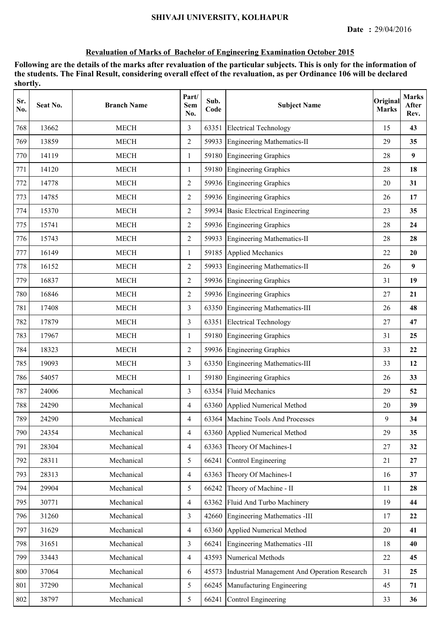| Sr.<br>No. | Seat No. | <b>Branch Name</b> | Part/<br><b>Sem</b><br>No. | Sub.<br>Code | <b>Subject Name</b>                          | Original<br><b>Marks</b> | <b>Marks</b><br>After<br>Rev. |
|------------|----------|--------------------|----------------------------|--------------|----------------------------------------------|--------------------------|-------------------------------|
| 768        | 13662    | <b>MECH</b>        | 3                          | 63351        | <b>Electrical Technology</b>                 | 15                       | 43                            |
| 769        | 13859    | <b>MECH</b>        | $\overline{2}$             |              | 59933 Engineering Mathematics-II             | 29                       | 35                            |
| 770        | 14119    | <b>MECH</b>        | $\mathbf{1}$               |              | 59180 Engineering Graphics                   | 28                       | 9                             |
| 771        | 14120    | <b>MECH</b>        | $\mathbf{1}$               |              | 59180 Engineering Graphics                   | 28                       | 18                            |
| 772        | 14778    | <b>MECH</b>        | 2                          |              | 59936 Engineering Graphics                   | 20                       | 31                            |
| 773        | 14785    | <b>MECH</b>        | $\overline{2}$             |              | 59936 Engineering Graphics                   | 26                       | 17                            |
| 774        | 15370    | <b>MECH</b>        | 2                          | 59934        | <b>Basic Electrical Engineering</b>          | 23                       | 35                            |
| 775        | 15741    | <b>MECH</b>        | $\overline{2}$             |              | 59936 Engineering Graphics                   | 28                       | 24                            |
| 776        | 15743    | <b>MECH</b>        | $\overline{2}$             |              | 59933 Engineering Mathematics-II             | 28                       | 28                            |
| 777        | 16149    | <b>MECH</b>        | $\mathbf{1}$               |              | 59185 Applied Mechanics                      | 22                       | 20                            |
| 778        | 16152    | <b>MECH</b>        | $\overline{2}$             |              | 59933 Engineering Mathematics-II             | 26                       | 9                             |
| 779        | 16837    | <b>MECH</b>        | $\overline{2}$             |              | 59936 Engineering Graphics                   | 31                       | 19                            |
| 780        | 16846    | <b>MECH</b>        | $\overline{2}$             |              | 59936 Engineering Graphics                   | 27                       | 21                            |
| 781        | 17408    | <b>MECH</b>        | $\overline{3}$             |              | 63350 Engineering Mathematics-III            | 26                       | 48                            |
| 782        | 17879    | <b>MECH</b>        | $\overline{3}$             | 63351        | <b>Electrical Technology</b>                 | 27                       | 47                            |
| 783        | 17967    | <b>MECH</b>        | 1                          |              | 59180 Engineering Graphics                   | 31                       | 25                            |
| 784        | 18323    | <b>MECH</b>        | 2                          |              | 59936 Engineering Graphics                   | 33                       | 22                            |
| 785        | 19093    | <b>MECH</b>        | 3                          | 63350        | Engineering Mathematics-III                  | 33                       | 12                            |
| 786        | 54057    | <b>MECH</b>        | 1                          |              | 59180 Engineering Graphics                   | 26                       | 33                            |
| 787        | 24006    | Mechanical         | 3                          |              | 63354 Fluid Mechanics                        | 29                       | 52                            |
| 788        | 24290    | Mechanical         | $\overline{4}$             |              | 63360 Applied Numerical Method               | 20                       | 39                            |
| 789        | 24290    | Mechanical         | 4                          |              | 63364 Machine Tools And Processes            | 9                        | 34                            |
| 790        | 24354    | Mechanical         | $\overline{4}$             | 63360        | Applied Numerical Method                     | 29                       | 35                            |
| 791        | 28304    | Mechanical         | $\overline{4}$             | 63363        | Theory Of Machines-I                         | 27                       | 32                            |
| 792        | 28311    | Mechanical         | 5                          | 66241        | <b>Control Engineering</b>                   | 21                       | 27                            |
| 793        | 28313    | Mechanical         | $\overline{4}$             | 63363        | Theory Of Machines-I                         | 16                       | 37                            |
| 794        | 29904    | Mechanical         | 5                          | 66242        | Theory of Machine - II                       | 11                       | 28                            |
| 795        | 30771    | Mechanical         | $\overline{4}$             | 63362        | Fluid And Turbo Machinery                    | 19                       | 44                            |
| 796        | 31260    | Mechanical         | $\overline{3}$             | 42660        | Engineering Mathematics -III                 | 17                       | 22                            |
| 797        | 31629    | Mechanical         | $\overline{4}$             | 63360        | Applied Numerical Method                     | 20                       | 41                            |
| 798        | 31651    | Mechanical         | 3                          | 66241        | <b>Engineering Mathematics -III</b>          | 18                       | 40                            |
| 799        | 33443    | Mechanical         | $\overline{4}$             | 43593        | Numerical Methods                            | 22                       | 45                            |
| 800        | 37064    | Mechanical         | 6                          | 45573        | Industrial Management And Operation Research | 31                       | 25                            |
| 801        | 37290    | Mechanical         | 5                          | 66245        | Manufacturing Engineering                    | 45                       | 71                            |
| 802        | 38797    | Mechanical         | 5                          | 66241        | Control Engineering                          | 33                       | 36                            |